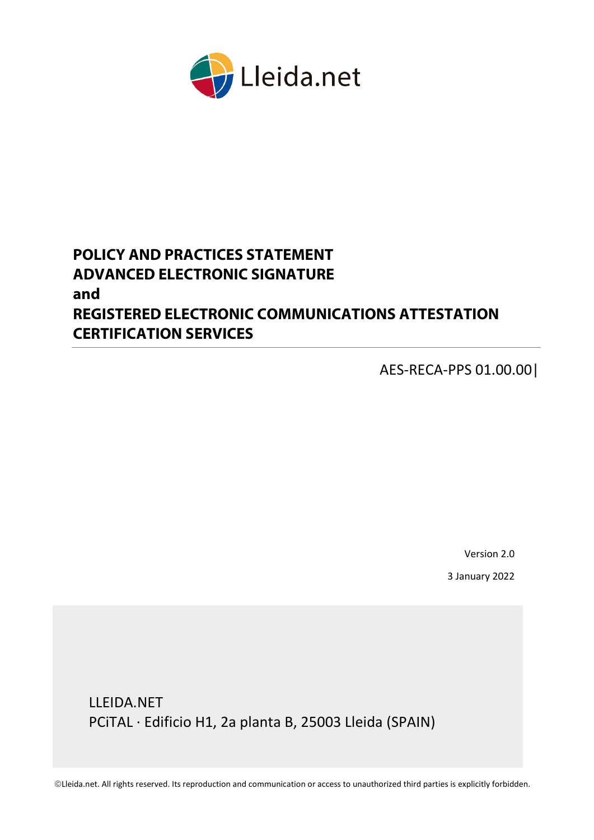<span id="page-0-0"></span>

# **POLICY AND PRACTICES STATEMENT ADVANCED ELECTRONIC SIGNATURE and REGISTERED ELECTRONIC COMMUNICATIONS ATTESTATION CERTIFICATION SERVICES**

AES-RECA-PPS 01.00.00|

Version 2.0

3 January 2022

LLEIDA.NET PCiTAL · Edificio H1, 2a planta B, 25003 Lleida (SPAIN)

Lleida.net. All rights reserved. Its reproduction and communication or access to unauthorized third parties is explicitly forbidden.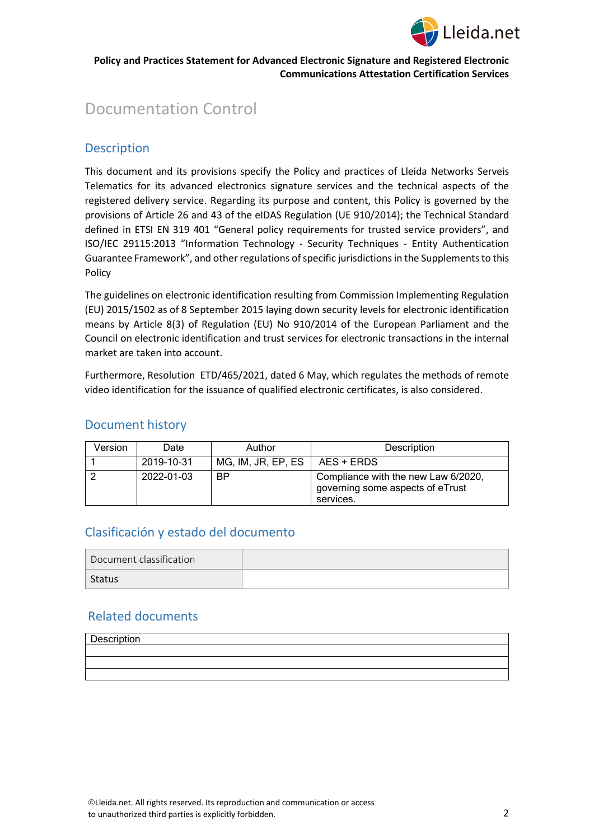

# Documentation Control

# **Description**

This document and its provisions specify the Policy and practices of Lleida Networks Serveis Telematics for its advanced electronics signature services and the technical aspects of the registered delivery service. Regarding its purpose and content, this Policy is governed by the provisions of Article 26 and 43 of the eIDAS Regulation (UE 910/2014); the Technical Standard defined in ETSI EN 319 401 "General policy requirements for trusted service providers", and ISO/IEC 29115:2013 "Information Technology - Security Techniques - Entity Authentication Guarantee Framework", and other regulations of specific jurisdictions in the Supplements to this Policy

The guidelines on electronic identification resulting from Commission Implementing Regulation (EU) 2015/1502 as of 8 September 2015 laying down security levels for electronic identification means by Article 8(3) of Regulation (EU) No 910/2014 of the European Parliament and the Council on electronic identification and trust services for electronic transactions in the internal market are taken into account.

Furthermore, Resolution ETD/465/2021, dated 6 May, which regulates the methods of remote video identification for the issuance of qualified electronic certificates, is also considered.

# Document history

| Version | Date       | Author                                                                                            | Description |
|---------|------------|---------------------------------------------------------------------------------------------------|-------------|
|         | 2019-10-31 | MG, IM, JR, EP, ES                                                                                | AES + ERDS  |
|         | 2022-01-03 | <b>BP</b><br>Compliance with the new Law 6/2020,<br>governing some aspects of eTrust<br>services. |             |

# Clasificación y estado del documento

| Document classification |  |
|-------------------------|--|
| Status                  |  |

# Related documents

| Description |  |
|-------------|--|
|             |  |
|             |  |
|             |  |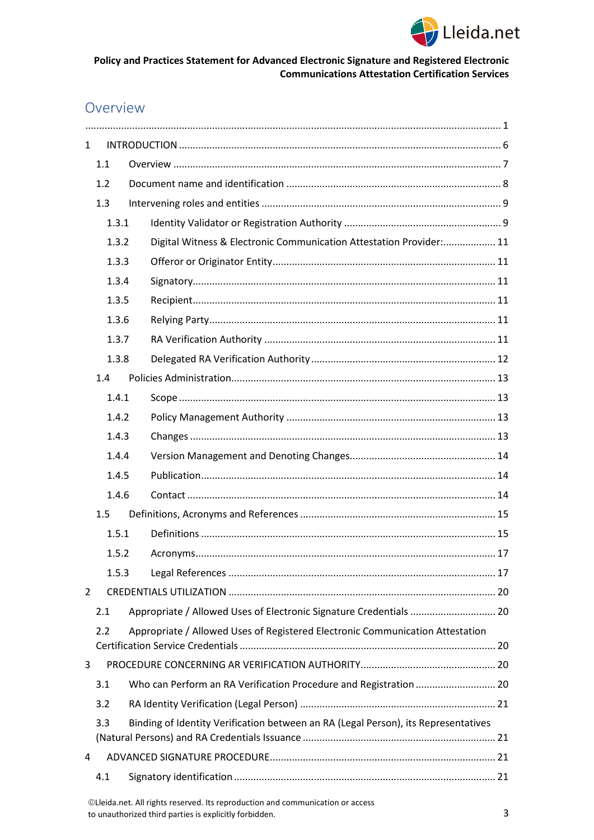

# Overview

| $\mathbf{1}$   |       |  |                                                                                    |  |
|----------------|-------|--|------------------------------------------------------------------------------------|--|
|                | 1.1   |  |                                                                                    |  |
|                | 1.2   |  |                                                                                    |  |
|                | 1.3   |  |                                                                                    |  |
|                | 1.3.1 |  |                                                                                    |  |
|                | 1.3.2 |  | Digital Witness & Electronic Communication Attestation Provider: 11                |  |
|                | 1.3.3 |  |                                                                                    |  |
|                | 1.3.4 |  |                                                                                    |  |
|                | 1.3.5 |  |                                                                                    |  |
|                | 1.3.6 |  |                                                                                    |  |
|                | 1.3.7 |  |                                                                                    |  |
|                | 1.3.8 |  |                                                                                    |  |
|                | 1.4   |  |                                                                                    |  |
|                | 1.4.1 |  |                                                                                    |  |
|                | 1.4.2 |  |                                                                                    |  |
|                | 1.4.3 |  |                                                                                    |  |
|                | 1.4.4 |  |                                                                                    |  |
|                | 1.4.5 |  |                                                                                    |  |
|                | 1.4.6 |  |                                                                                    |  |
|                | 1.5   |  |                                                                                    |  |
|                | 1.5.1 |  |                                                                                    |  |
|                | 1.5.2 |  |                                                                                    |  |
|                | 1.5.3 |  |                                                                                    |  |
| $\overline{2}$ |       |  |                                                                                    |  |
|                | 2.1   |  | Appropriate / Allowed Uses of Electronic Signature Credentials  20                 |  |
|                | 2.2   |  | Appropriate / Allowed Uses of Registered Electronic Communication Attestation      |  |
|                |       |  |                                                                                    |  |
| 3              |       |  |                                                                                    |  |
|                | 3.1   |  | Who can Perform an RA Verification Procedure and Registration  20                  |  |
|                | 3.2   |  |                                                                                    |  |
|                | 3.3   |  | Binding of Identity Verification between an RA (Legal Person), its Representatives |  |
| 4              |       |  |                                                                                    |  |
|                | 4.1   |  |                                                                                    |  |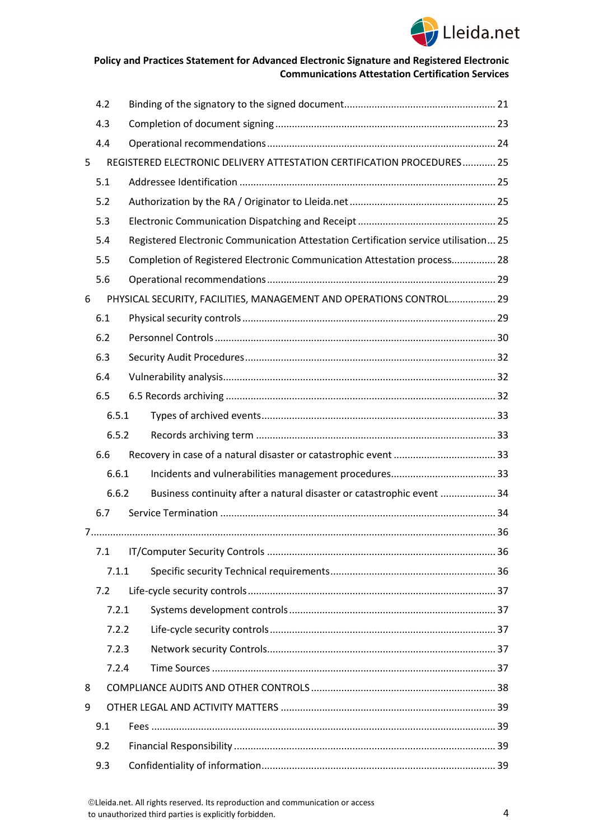

|   | 4.2   |  |                                                                                      |  |
|---|-------|--|--------------------------------------------------------------------------------------|--|
|   | 4.3   |  |                                                                                      |  |
|   | 4.4   |  |                                                                                      |  |
| 5 |       |  | REGISTERED ELECTRONIC DELIVERY ATTESTATION CERTIFICATION PROCEDURES 25               |  |
|   | 5.1   |  |                                                                                      |  |
|   | 5.2   |  |                                                                                      |  |
|   | 5.3   |  |                                                                                      |  |
|   | 5.4   |  | Registered Electronic Communication Attestation Certification service utilisation 25 |  |
|   | 5.5   |  | Completion of Registered Electronic Communication Attestation process 28             |  |
|   | 5.6   |  |                                                                                      |  |
| 6 |       |  | PHYSICAL SECURITY, FACILITIES, MANAGEMENT AND OPERATIONS CONTROL 29                  |  |
|   | 6.1   |  |                                                                                      |  |
|   | 6.2   |  |                                                                                      |  |
|   | 6.3   |  |                                                                                      |  |
|   | 6.4   |  |                                                                                      |  |
|   | 6.5   |  |                                                                                      |  |
|   | 6.5.1 |  |                                                                                      |  |
|   | 6.5.2 |  |                                                                                      |  |
|   | 6.6   |  |                                                                                      |  |
|   | 6.6.1 |  |                                                                                      |  |
|   | 6.6.2 |  | Business continuity after a natural disaster or catastrophic event  34               |  |
|   | 6.7   |  |                                                                                      |  |
|   |       |  |                                                                                      |  |
|   | 7.1   |  |                                                                                      |  |
|   | 7.1.1 |  |                                                                                      |  |
|   | 7.2   |  |                                                                                      |  |
|   | 7.2.1 |  |                                                                                      |  |
|   | 7.2.2 |  |                                                                                      |  |
|   | 7.2.3 |  |                                                                                      |  |
|   | 7.2.4 |  |                                                                                      |  |
| 8 |       |  |                                                                                      |  |
| 9 |       |  |                                                                                      |  |
|   | 9.1   |  |                                                                                      |  |
|   | 9.2   |  |                                                                                      |  |
|   | 9.3   |  |                                                                                      |  |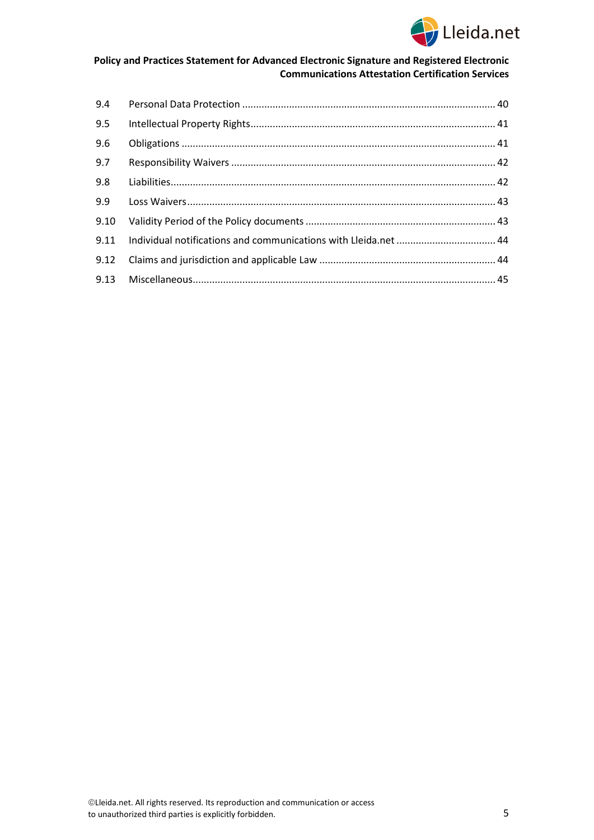

| 9.4  |  |
|------|--|
| 9.5  |  |
| 9.6  |  |
| 9.7  |  |
| 9.8  |  |
| 9.9  |  |
| 9.10 |  |
| 9.11 |  |
| 9.12 |  |
|      |  |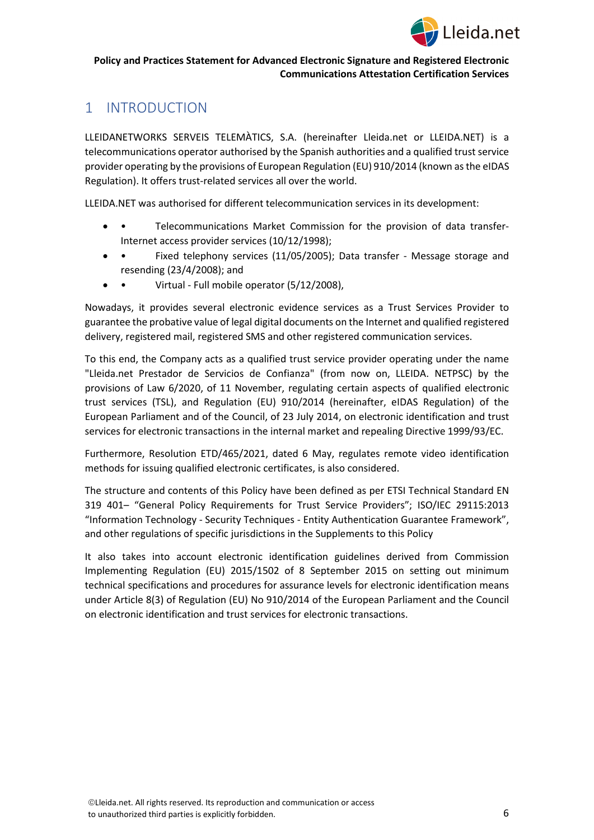

# <span id="page-5-0"></span>1 INTRODUCTION

LLEIDANETWORKS SERVEIS TELEMÀTICS, S.A. (hereinafter Lleida.net or LLEIDA.NET) is a telecommunications operator authorised by the Spanish authorities and a qualified trust service provider operating by the provisions of European Regulation (EU) 910/2014 (known as the eIDAS Regulation). It offers trust-related services all over the world.

LLEIDA.NET was authorised for different telecommunication services in its development:

- • Telecommunications Market Commission for the provision of data transfer-Internet access provider services (10/12/1998);
- • Fixed telephony services (11/05/2005); Data transfer Message storage and resending (23/4/2008); and
- • Virtual Full mobile operator (5/12/2008),

Nowadays, it provides several electronic evidence services as a Trust Services Provider to guarantee the probative value of legal digital documents on the Internet and qualified registered delivery, registered mail, registered SMS and other registered communication services.

To this end, the Company acts as a qualified trust service provider operating under the name "Lleida.net Prestador de Servicios de Confianza" (from now on, LLEIDA. NETPSC) by the provisions of Law 6/2020, of 11 November, regulating certain aspects of qualified electronic trust services (TSL), and Regulation (EU) 910/2014 (hereinafter, eIDAS Regulation) of the European Parliament and of the Council, of 23 July 2014, on electronic identification and trust services for electronic transactions in the internal market and repealing Directive 1999/93/EC.

Furthermore, Resolution ETD/465/2021, dated 6 May, regulates remote video identification methods for issuing qualified electronic certificates, is also considered.

The structure and contents of this Policy have been defined as per ETSI Technical Standard EN 319 401– "General Policy Requirements for Trust Service Providers"; ISO/IEC 29115:2013 "Information Technology - Security Techniques - Entity Authentication Guarantee Framework", and other regulations of specific jurisdictions in the Supplements to this Policy

It also takes into account electronic identification guidelines derived from Commission Implementing Regulation (EU) 2015/1502 of 8 September 2015 on setting out minimum technical specifications and procedures for assurance levels for electronic identification means under Article 8(3) of Regulation (EU) No 910/2014 of the European Parliament and the Council on electronic identification and trust services for electronic transactions.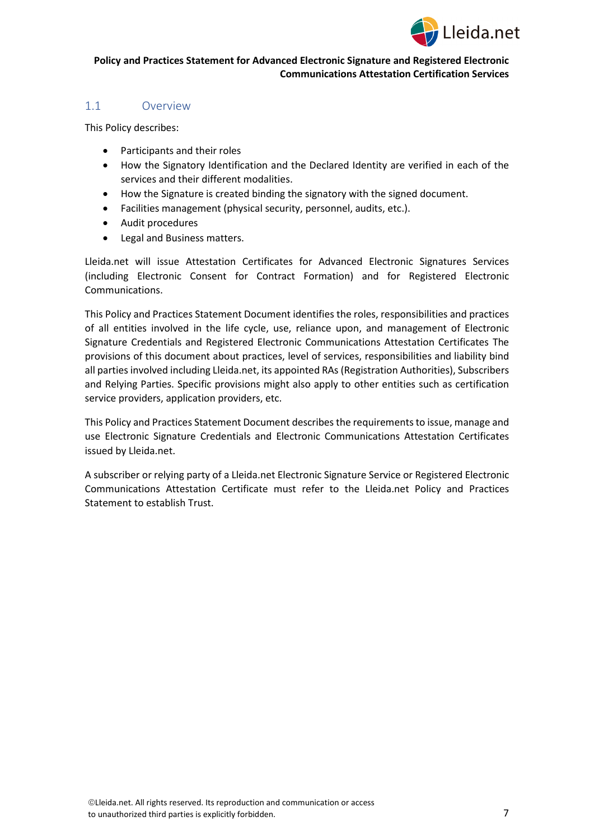

## <span id="page-6-0"></span>1.1 Overview

This Policy describes:

- Participants and their roles
- How the Signatory Identification and the Declared Identity are verified in each of the services and their different modalities.
- How the Signature is created binding the signatory with the signed document.
- Facilities management (physical security, personnel, audits, etc.).
- Audit procedures
- Legal and Business matters.

Lleida.net will issue Attestation Certificates for Advanced Electronic Signatures Services (including Electronic Consent for Contract Formation) and for Registered Electronic Communications.

This Policy and Practices Statement Document identifies the roles, responsibilities and practices of all entities involved in the life cycle, use, reliance upon, and management of Electronic Signature Credentials and Registered Electronic Communications Attestation Certificates The provisions of this document about practices, level of services, responsibilities and liability bind all parties involved including Lleida.net, its appointed RAs (Registration Authorities), Subscribers and Relying Parties. Specific provisions might also apply to other entities such as certification service providers, application providers, etc.

This Policy and Practices Statement Document describes the requirements to issue, manage and use Electronic Signature Credentials and Electronic Communications Attestation Certificates issued by Lleida.net.

A subscriber or relying party of a Lleida.net Electronic Signature Service or Registered Electronic Communications Attestation Certificate must refer to the Lleida.net Policy and Practices Statement to establish Trust.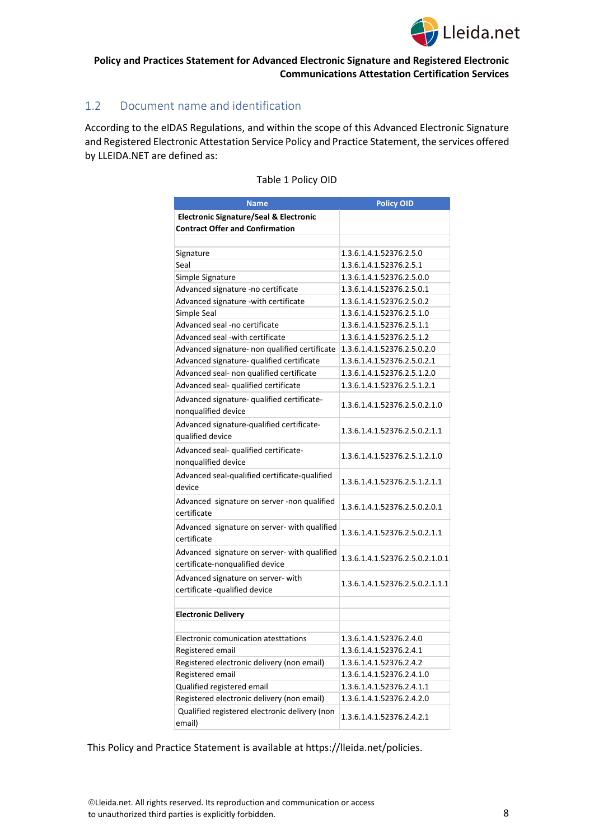

## <span id="page-7-0"></span>1.2 Document name and identification

According to the eIDAS Regulations, and within the scope of this Advanced Electronic Signature and Registered Electronic Attestation Service Policy and Practice Statement, the services offered by LLEIDA.NET are defined as:

| <b>Name</b>                                                                     | <b>Policy OID</b>               |
|---------------------------------------------------------------------------------|---------------------------------|
| <b>Electronic Signature/Seal &amp; Electronic</b>                               |                                 |
| <b>Contract Offer and Confirmation</b>                                          |                                 |
|                                                                                 |                                 |
| Signature                                                                       | 1.3.6.1.4.1.52376.2.5.0         |
| Seal                                                                            | 1.3.6.1.4.1.52376.2.5.1         |
| Simple Signature                                                                | 1.3.6.1.4.1.52376.2.5.0.0       |
| Advanced signature -no certificate                                              | 1.3.6.1.4.1.52376.2.5.0.1       |
| Advanced signature -with certificate                                            | 1.3.6.1.4.1.52376.2.5.0.2       |
| Simple Seal                                                                     | 1.3.6.1.4.1.52376.2.5.1.0       |
| Advanced seal -no certificate                                                   | 1.3.6.1.4.1.52376.2.5.1.1       |
| Advanced seal -with certificate                                                 | 1.3.6.1.4.1.52376.2.5.1.2       |
| Advanced signature- non qualified certificate                                   | 1.3.6.1.4.1.52376.2.5.0.2.0     |
| Advanced signature- qualified certificate                                       | 1.3.6.1.4.1.52376.2.5.0.2.1     |
| Advanced seal- non qualified certificate                                        | 1.3.6.1.4.1.52376.2.5.1.2.0     |
| Advanced seal- qualified certificate                                            | 1.3.6.1.4.1.52376.2.5.1.2.1     |
| Advanced signature- qualified certificate-<br>nonqualified device               | 1.3.6.1.4.1.52376.2.5.0.2.1.0   |
| Advanced signature-qualified certificate-<br>qualified device                   | 1.3.6.1.4.1.52376.2.5.0.2.1.1   |
| Advanced seal- qualified certificate-<br>nonqualified device                    | 1.3.6.1.4.1.52376.2.5.1.2.1.0   |
| Advanced seal-qualified certificate-qualified<br>device                         | 1.3.6.1.4.1.52376.2.5.1.2.1.1   |
| Advanced signature on server -non qualified<br>certificate                      | 1.3.6.1.4.1.52376.2.5.0.2.0.1   |
| Advanced signature on server- with qualified<br>certificate                     | 1.3.6.1.4.1.52376.2.5.0.2.1.1   |
| Advanced signature on server- with qualified<br>certificate-nonqualified device | 1.3.6.1.4.1.52376.2.5.0.2.1.0.1 |
| Advanced signature on server- with<br>certificate -qualified device             | 1.3.6.1.4.1.52376.2.5.0.2.1.1.1 |
| <b>Electronic Delivery</b>                                                      |                                 |
|                                                                                 |                                 |
| Electronic comunication atesttations                                            | 1.3.6.1.4.1.52376.2.4.0         |
| Registered email                                                                | 1.3.6.1.4.1.52376.2.4.1         |
| Registered electronic delivery (non email)                                      | 1.3.6.1.4.1.52376.2.4.2         |
| Registered email                                                                | 1.3.6.1.4.1.52376.2.4.1.0       |
| Qualified registered email                                                      | 1.3.6.1.4.1.52376.2.4.1.1       |
| Registered electronic delivery (non email)                                      | 1.3.6.1.4.1.52376.2.4.2.0       |
| Qualified registered electronic delivery (non<br>email)                         | 1.3.6.1.4.1.52376.2.4.2.1       |

#### Table 1 Policy OID

This Policy and Practice Statement is available at https://lleida.net/policies.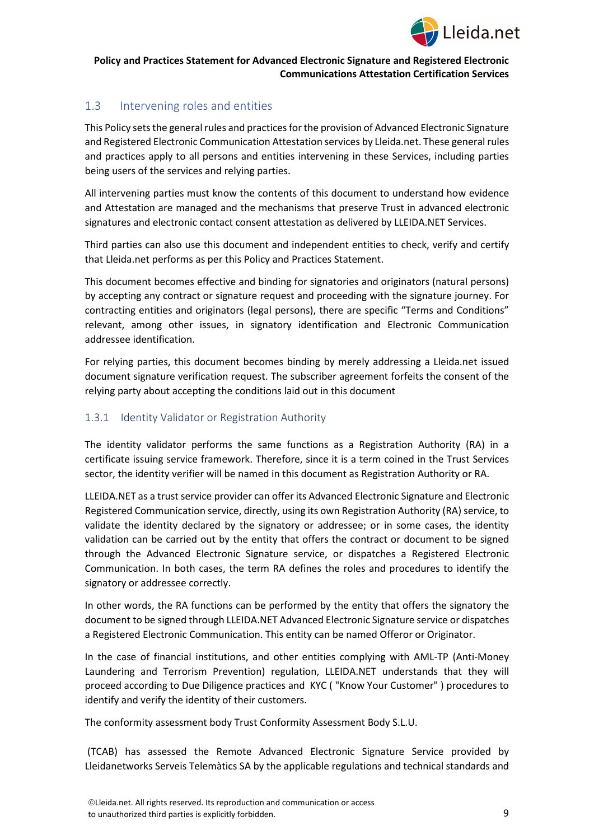

## <span id="page-8-0"></span>1.3 Intervening roles and entities

This Policy sets the general rules and practices for the provision of Advanced Electronic Signature and Registered Electronic Communication Attestation services by Lleida.net. These general rules and practices apply to all persons and entities intervening in these Services, including parties being users of the services and relying parties.

All intervening parties must know the contents of this document to understand how evidence and Attestation are managed and the mechanisms that preserve Trust in advanced electronic signatures and electronic contact consent attestation as delivered by LLEIDA.NET Services.

Third parties can also use this document and independent entities to check, verify and certify that Lleida.net performs as per this Policy and Practices Statement.

This document becomes effective and binding for signatories and originators (natural persons) by accepting any contract or signature request and proceeding with the signature journey. For contracting entities and originators (legal persons), there are specific "Terms and Conditions" relevant, among other issues, in signatory identification and Electronic Communication addressee identification.

For relying parties, this document becomes binding by merely addressing a Lleida.net issued document signature verification request. The subscriber agreement forfeits the consent of the relying party about accepting the conditions laid out in this document

## <span id="page-8-1"></span>1.3.1 Identity Validator or Registration Authority

The identity validator performs the same functions as a Registration Authority (RA) in a certificate issuing service framework. Therefore, since it is a term coined in the Trust Services sector, the identity verifier will be named in this document as Registration Authority or RA.

LLEIDA.NET as a trust service provider can offer its Advanced Electronic Signature and Electronic Registered Communication service, directly, using its own Registration Authority (RA) service, to validate the identity declared by the signatory or addressee; or in some cases, the identity validation can be carried out by the entity that offers the contract or document to be signed through the Advanced Electronic Signature service, or dispatches a Registered Electronic Communication. In both cases, the term RA defines the roles and procedures to identify the signatory or addressee correctly.

In other words, the RA functions can be performed by the entity that offers the signatory the document to be signed through LLEIDA.NET Advanced Electronic Signature service or dispatches a Registered Electronic Communication. This entity can be named Offeror or Originator.

In the case of financial institutions, and other entities complying with AML-TP (Anti-Money Laundering and Terrorism Prevention) regulation, LLEIDA.NET understands that they will proceed according to Due Diligence practices and KYC ( "Know Your Customer" ) procedures to identify and verify the identity of their customers.

The conformity assessment body Trust Conformity Assessment Body S.L.U.

(TCAB) has assessed the Remote Advanced Electronic Signature Service provided by Lleidanetworks Serveis Telemàtics SA by the applicable regulations and technical standards and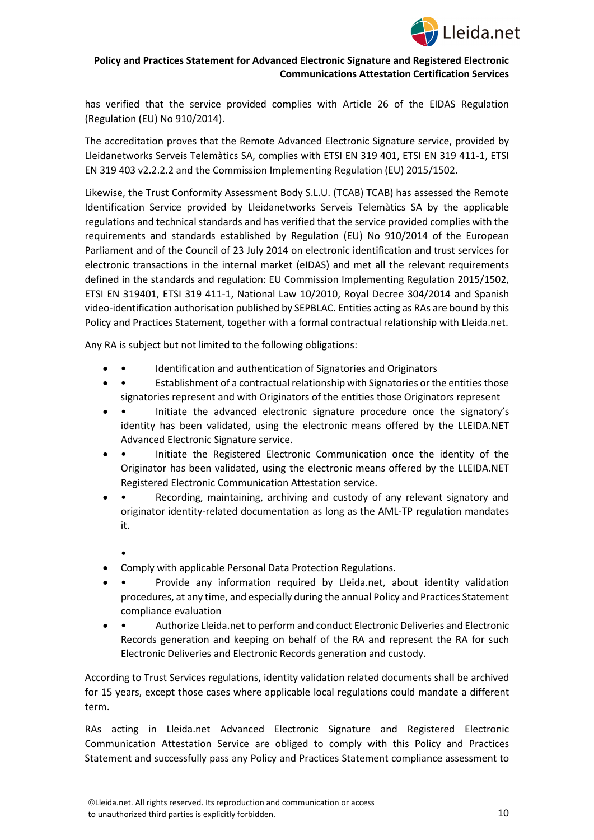

has verified that the service provided complies with Article 26 of the EIDAS Regulation (Regulation (EU) No 910/2014).

The accreditation proves that the Remote Advanced Electronic Signature service, provided by Lleidanetworks Serveis Telemàtics SA, complies with ETSI EN 319 401, ETSI EN 319 411-1, ETSI EN 319 403 v2.2.2.2 and the Commission Implementing Regulation (EU) 2015/1502.

Likewise, the Trust Conformity Assessment Body S.L.U. (TCAB) TCAB) has assessed the Remote Identification Service provided by Lleidanetworks Serveis Telemàtics SA by the applicable regulations and technical standards and has verified that the service provided complies with the requirements and standards established by Regulation (EU) No 910/2014 of the European Parliament and of the Council of 23 July 2014 on electronic identification and trust services for electronic transactions in the internal market (eIDAS) and met all the relevant requirements defined in the standards and regulation: EU Commission Implementing Regulation 2015/1502, ETSI EN 319401, ETSI 319 411-1, National Law 10/2010, Royal Decree 304/2014 and Spanish video-identification authorisation published by SEPBLAC. Entities acting as RAs are bound by this Policy and Practices Statement, together with a formal contractual relationship with Lleida.net.

Any RA is subject but not limited to the following obligations:

- Identification and authentication of Signatories and Originators
- Establishment of a contractual relationship with Signatories or the entities those signatories represent and with Originators of the entities those Originators represent
- • Initiate the advanced electronic signature procedure once the signatory's identity has been validated, using the electronic means offered by the LLEIDA.NET Advanced Electronic Signature service.
- • Initiate the Registered Electronic Communication once the identity of the Originator has been validated, using the electronic means offered by the LLEIDA.NET Registered Electronic Communication Attestation service.
- • Recording, maintaining, archiving and custody of any relevant signatory and originator identity-related documentation as long as the AML-TP regulation mandates it.
	- •
- Comply with applicable Personal Data Protection Regulations.
- Provide any information required by Lleida.net, about identity validation procedures, at any time, and especially during the annual Policy and Practices Statement compliance evaluation
- • Authorize Lleida.net to perform and conduct Electronic Deliveries and Electronic Records generation and keeping on behalf of the RA and represent the RA for such Electronic Deliveries and Electronic Records generation and custody.

According to Trust Services regulations, identity validation related documents shall be archived for 15 years, except those cases where applicable local regulations could mandate a different term.

RAs acting in Lleida.net Advanced Electronic Signature and Registered Electronic Communication Attestation Service are obliged to comply with this Policy and Practices Statement and successfully pass any Policy and Practices Statement compliance assessment to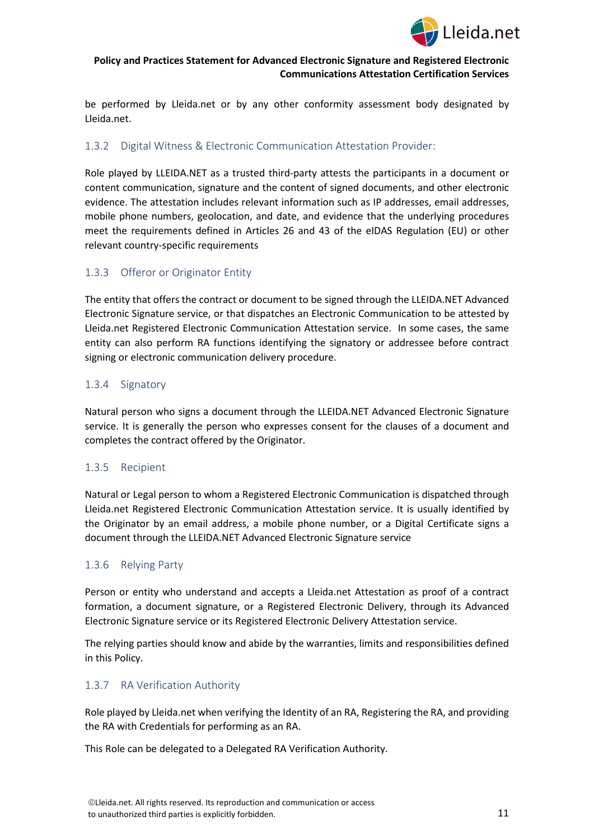

be performed by Lleida.net or by any other conformity assessment body designated by Lleida.net.

## <span id="page-10-0"></span>1.3.2 Digital Witness & Electronic Communication Attestation Provider:

Role played by LLEIDA.NET as a trusted third-party attests the participants in a document or content communication, signature and the content of signed documents, and other electronic evidence. The attestation includes relevant information such as IP addresses, email addresses, mobile phone numbers, geolocation, and date, and evidence that the underlying procedures meet the requirements defined in Articles 26 and 43 of the eIDAS Regulation (EU) or other relevant country-specific requirements

## <span id="page-10-1"></span>1.3.3 Offeror or Originator Entity

The entity that offers the contract or document to be signed through the LLEIDA.NET Advanced Electronic Signature service, or that dispatches an Electronic Communication to be attested by Lleida.net Registered Electronic Communication Attestation service. In some cases, the same entity can also perform RA functions identifying the signatory or addressee before contract signing or electronic communication delivery procedure.

## <span id="page-10-2"></span>1.3.4 Signatory

Natural person who signs a document through the LLEIDA.NET Advanced Electronic Signature service. It is generally the person who expresses consent for the clauses of a document and completes the contract offered by the Originator.

## <span id="page-10-3"></span>1.3.5 Recipient

Natural or Legal person to whom a Registered Electronic Communication is dispatched through Lleida.net Registered Electronic Communication Attestation service. It is usually identified by the Originator by an email address, a mobile phone number, or a Digital Certificate signs a document through the LLEIDA.NET Advanced Electronic Signature service

## <span id="page-10-4"></span>1.3.6 Relying Party

Person or entity who understand and accepts a Lleida.net Attestation as proof of a contract formation, a document signature, or a Registered Electronic Delivery, through its Advanced Electronic Signature service or its Registered Electronic Delivery Attestation service.

The relying parties should know and abide by the warranties, limits and responsibilities defined in this Policy.

## <span id="page-10-5"></span>1.3.7 RA Verification Authority

Role played by Lleida.net when verifying the Identity of an RA, Registering the RA, and providing the RA with Credentials for performing as an RA.

This Role can be delegated to a Delegated RA Verification Authority.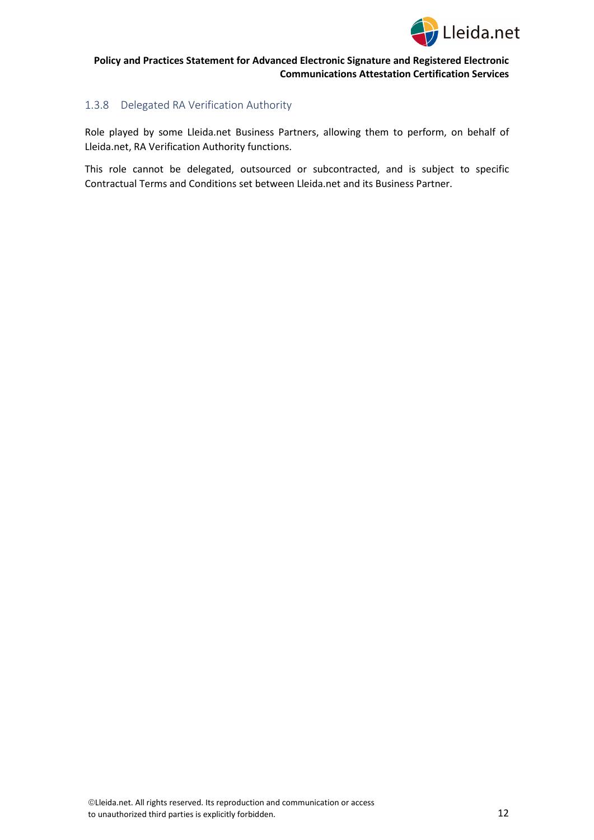

## <span id="page-11-0"></span>1.3.8 Delegated RA Verification Authority

Role played by some Lleida.net Business Partners, allowing them to perform, on behalf of Lleida.net, RA Verification Authority functions.

This role cannot be delegated, outsourced or subcontracted, and is subject to specific Contractual Terms and Conditions set between Lleida.net and its Business Partner.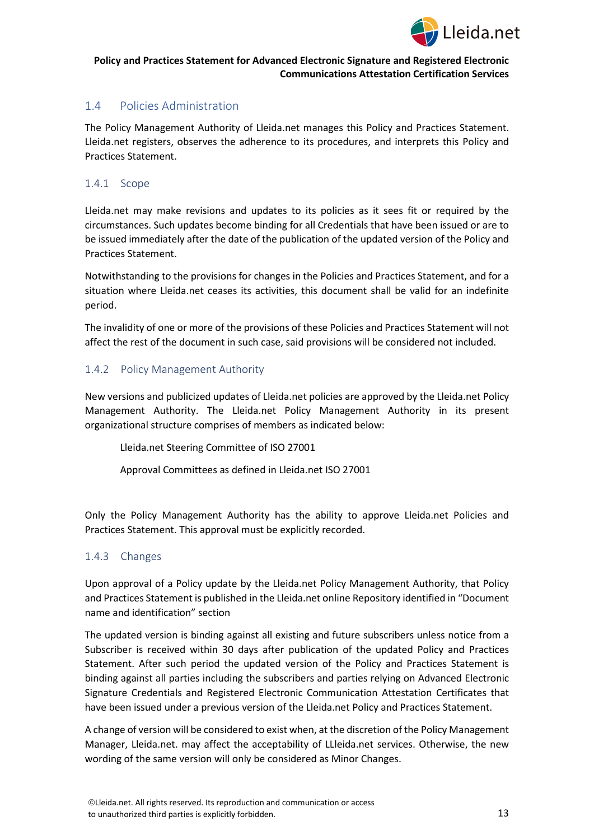

## <span id="page-12-0"></span>1.4 Policies Administration

The Policy Management Authority of Lleida.net manages this Policy and Practices Statement. Lleida.net registers, observes the adherence to its procedures, and interprets this Policy and Practices Statement.

#### <span id="page-12-1"></span>1.4.1 Scope

Lleida.net may make revisions and updates to its policies as it sees fit or required by the circumstances. Such updates become binding for all Credentials that have been issued or are to be issued immediately after the date of the publication of the updated version of the Policy and Practices Statement.

Notwithstanding to the provisions for changes in the Policies and Practices Statement, and for a situation where Lleida.net ceases its activities, this document shall be valid for an indefinite period.

The invalidity of one or more of the provisions of these Policies and Practices Statement will not affect the rest of the document in such case, said provisions will be considered not included.

#### <span id="page-12-2"></span>1.4.2 Policy Management Authority

New versions and publicized updates of Lleida.net policies are approved by the Lleida.net Policy Management Authority. The Lleida.net Policy Management Authority in its present organizational structure comprises of members as indicated below:

Lleida.net Steering Committee of ISO 27001

Approval Committees as defined in Lleida.net ISO 27001

Only the Policy Management Authority has the ability to approve Lleida.net Policies and Practices Statement. This approval must be explicitly recorded.

## <span id="page-12-3"></span>1.4.3 Changes

Upon approval of a Policy update by the Lleida.net Policy Management Authority, that Policy and Practices Statement is published in the Lleida.net online Repository identified in "Document name and identification" section

The updated version is binding against all existing and future subscribers unless notice from a Subscriber is received within 30 days after publication of the updated Policy and Practices Statement. After such period the updated version of the Policy and Practices Statement is binding against all parties including the subscribers and parties relying on Advanced Electronic Signature Credentials and Registered Electronic Communication Attestation Certificates that have been issued under a previous version of the Lleida.net Policy and Practices Statement.

A change of version will be considered to exist when, at the discretion of the Policy Management Manager, Lleida.net. may affect the acceptability of LLleida.net services. Otherwise, the new wording of the same version will only be considered as Minor Changes.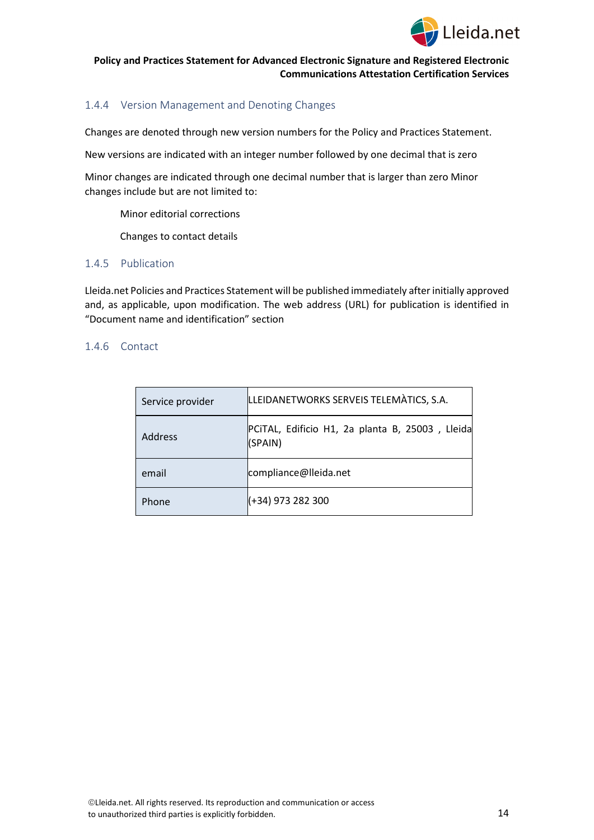

## <span id="page-13-0"></span>1.4.4 Version Management and Denoting Changes

Changes are denoted through new version numbers for the Policy and Practices Statement.

New versions are indicated with an integer number followed by one decimal that is zero

Minor changes are indicated through one decimal number that is larger than zero Minor changes include but are not limited to:

Minor editorial corrections

Changes to contact details

## <span id="page-13-1"></span>1.4.5 Publication

Lleida.net Policies and Practices Statement will be published immediately after initially approved and, as applicable, upon modification. The web address (URL) for publication is identified in "Document name and identification" section

#### <span id="page-13-2"></span>1.4.6 Contact

| Service provider | LLEIDANETWORKS SERVEIS TELEMATICS, S.A.                    |
|------------------|------------------------------------------------------------|
| Address          | PCITAL, Edificio H1, 2a planta B, 25003, Lleida<br>(SPAIN) |
| email            | compliance@lleida.net                                      |
| Phone            | (+34) 973 282 300                                          |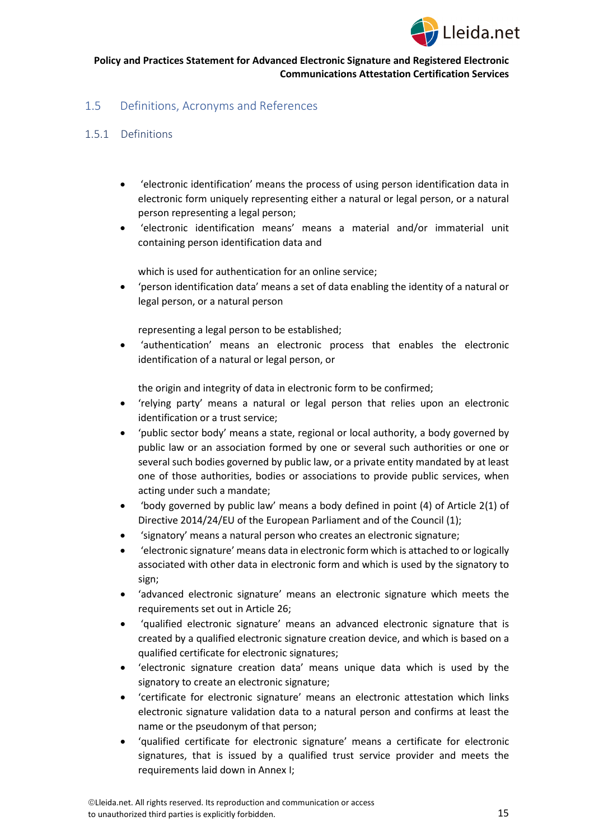

## <span id="page-14-0"></span>1.5 Definitions, Acronyms and References

## <span id="page-14-1"></span>1.5.1 Definitions

- 'electronic identification' means the process of using person identification data in electronic form uniquely representing either a natural or legal person, or a natural person representing a legal person;
- 'electronic identification means' means a material and/or immaterial unit containing person identification data and

which is used for authentication for an online service;

• 'person identification data' means a set of data enabling the identity of a natural or legal person, or a natural person

representing a legal person to be established;

• 'authentication' means an electronic process that enables the electronic identification of a natural or legal person, or

the origin and integrity of data in electronic form to be confirmed;

- 'relying party' means a natural or legal person that relies upon an electronic identification or a trust service;
- 'public sector body' means a state, regional or local authority, a body governed by public law or an association formed by one or several such authorities or one or several such bodies governed by public law, or a private entity mandated by at least one of those authorities, bodies or associations to provide public services, when acting under such a mandate;
- 'body governed by public law' means a body defined in point (4) of Article 2(1) of Directive 2014/24/EU of the European Parliament and of the Council (1);
- 'signatory' means a natural person who creates an electronic signature;
- 'electronic signature' means data in electronic form which is attached to or logically associated with other data in electronic form and which is used by the signatory to sign;
- 'advanced electronic signature' means an electronic signature which meets the requirements set out in Article 26;
- 'qualified electronic signature' means an advanced electronic signature that is created by a qualified electronic signature creation device, and which is based on a qualified certificate for electronic signatures;
- 'electronic signature creation data' means unique data which is used by the signatory to create an electronic signature;
- 'certificate for electronic signature' means an electronic attestation which links electronic signature validation data to a natural person and confirms at least the name or the pseudonym of that person;
- 'qualified certificate for electronic signature' means a certificate for electronic signatures, that is issued by a qualified trust service provider and meets the requirements laid down in Annex I;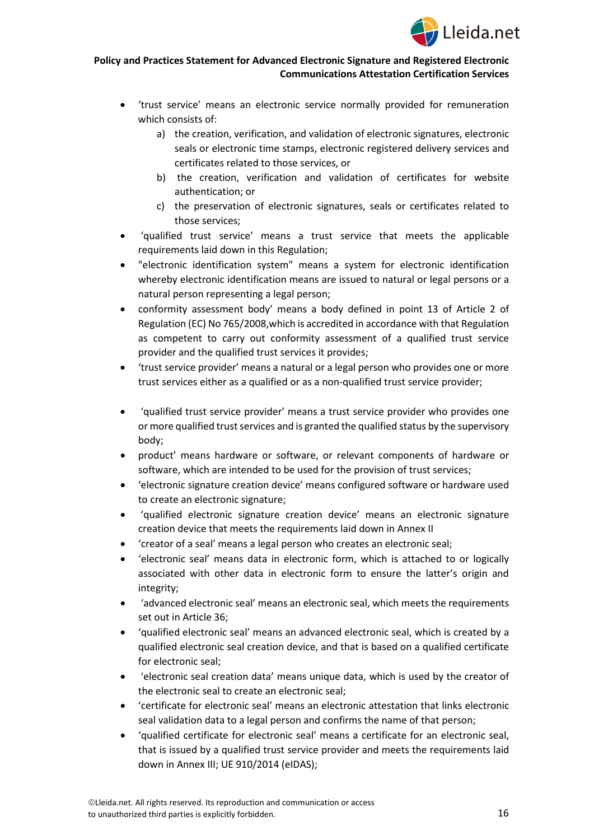

- 'trust service' means an electronic service normally provided for remuneration which consists of:
	- a) the creation, verification, and validation of electronic signatures, electronic seals or electronic time stamps, electronic registered delivery services and certificates related to those services, or
	- b) the creation, verification and validation of certificates for website authentication; or
	- c) the preservation of electronic signatures, seals or certificates related to those services;
- 'qualified trust service' means a trust service that meets the applicable requirements laid down in this Regulation;
- "electronic identification system" means a system for electronic identification whereby electronic identification means are issued to natural or legal persons or a natural person representing a legal person;
- conformity assessment body' means a body defined in point 13 of Article 2 of Regulation (EC) No 765/2008,which is accredited in accordance with that Regulation as competent to carry out conformity assessment of a qualified trust service provider and the qualified trust services it provides;
- 'trust service provider' means a natural or a legal person who provides one or more trust services either as a qualified or as a non-qualified trust service provider;
- 'qualified trust service provider' means a trust service provider who provides one or more qualified trust services and is granted the qualified status by the supervisory body;
- product' means hardware or software, or relevant components of hardware or software, which are intended to be used for the provision of trust services;
- 'electronic signature creation device' means configured software or hardware used to create an electronic signature;
- 'qualified electronic signature creation device' means an electronic signature creation device that meets the requirements laid down in Annex II
- 'creator of a seal' means a legal person who creates an electronic seal;
- 'electronic seal' means data in electronic form, which is attached to or logically associated with other data in electronic form to ensure the latter's origin and integrity;
- 'advanced electronic seal' means an electronic seal, which meets the requirements set out in Article 36;
- 'qualified electronic seal' means an advanced electronic seal, which is created by a qualified electronic seal creation device, and that is based on a qualified certificate for electronic seal;
- 'electronic seal creation data' means unique data, which is used by the creator of the electronic seal to create an electronic seal;
- 'certificate for electronic seal' means an electronic attestation that links electronic seal validation data to a legal person and confirms the name of that person;
- 'qualified certificate for electronic seal' means a certificate for an electronic seal, that is issued by a qualified trust service provider and meets the requirements laid down in Annex III; UE 910/2014 (eIDAS);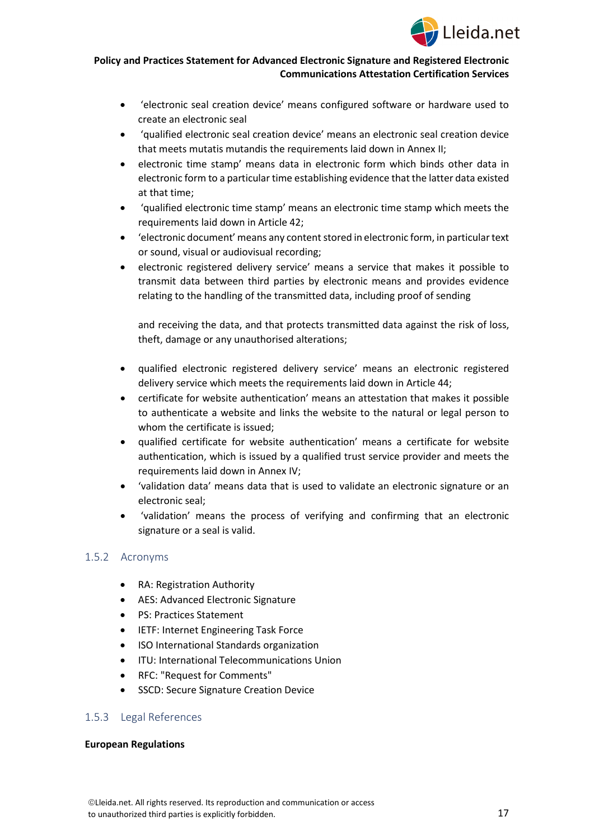

- 'electronic seal creation device' means configured software or hardware used to create an electronic seal
- 'qualified electronic seal creation device' means an electronic seal creation device that meets mutatis mutandis the requirements laid down in Annex II;
- electronic time stamp' means data in electronic form which binds other data in electronic form to a particular time establishing evidence that the latter data existed at that time;
- 'qualified electronic time stamp' means an electronic time stamp which meets the requirements laid down in Article 42;
- 'electronic document' means any content stored in electronic form, in particular text or sound, visual or audiovisual recording;
- electronic registered delivery service' means a service that makes it possible to transmit data between third parties by electronic means and provides evidence relating to the handling of the transmitted data, including proof of sending

and receiving the data, and that protects transmitted data against the risk of loss, theft, damage or any unauthorised alterations;

- qualified electronic registered delivery service' means an electronic registered delivery service which meets the requirements laid down in Article 44;
- certificate for website authentication' means an attestation that makes it possible to authenticate a website and links the website to the natural or legal person to whom the certificate is issued;
- qualified certificate for website authentication' means a certificate for website authentication, which is issued by a qualified trust service provider and meets the requirements laid down in Annex IV;
- 'validation data' means data that is used to validate an electronic signature or an electronic seal;
- 'validation' means the process of verifying and confirming that an electronic signature or a seal is valid.

## <span id="page-16-0"></span>1.5.2 Acronyms

- RA: Registration Authority
- AES: Advanced Electronic Signature
- PS: Practices Statement
- IETF: Internet Engineering Task Force
- ISO International Standards organization
- ITU: International Telecommunications Union
- RFC: "Request for Comments"
- SSCD: Secure Signature Creation Device

## <span id="page-16-1"></span>1.5.3 Legal References

#### **European Regulations**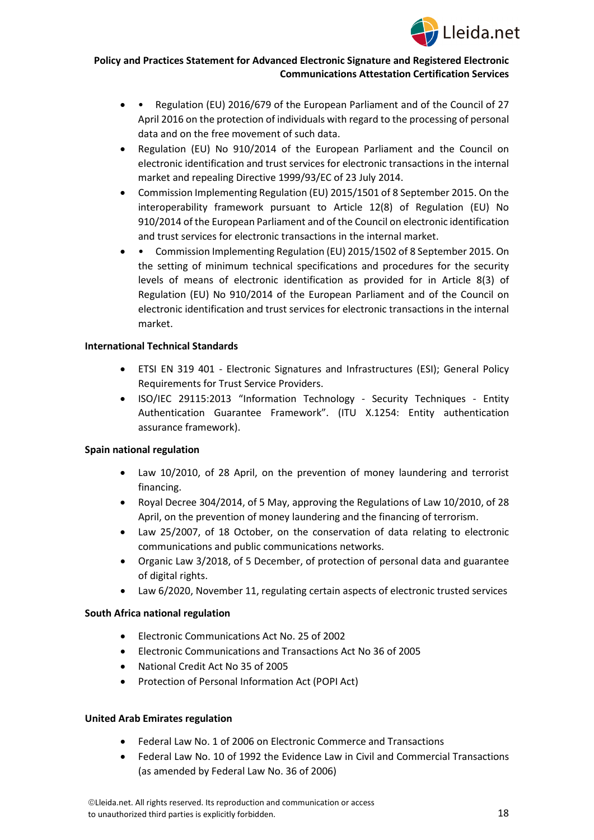

- • Regulation (EU) 2016/679 of the European Parliament and of the Council of 27 April 2016 on the protection of individuals with regard to the processing of personal data and on the free movement of such data.
- Regulation (EU) No 910/2014 of the European Parliament and the Council on electronic identification and trust services for electronic transactions in the internal market and repealing Directive 1999/93/EC of 23 July 2014.
- Commission Implementing Regulation (EU) 2015/1501 of 8 September 2015. On the interoperability framework pursuant to Article 12(8) of Regulation (EU) No 910/2014 of the European Parliament and of the Council on electronic identification and trust services for electronic transactions in the internal market.
- • Commission Implementing Regulation (EU) 2015/1502 of 8 September 2015. On the setting of minimum technical specifications and procedures for the security levels of means of electronic identification as provided for in Article 8(3) of Regulation (EU) No 910/2014 of the European Parliament and of the Council on electronic identification and trust services for electronic transactions in the internal market.

#### **International Technical Standards**

- ETSI EN 319 401 Electronic Signatures and Infrastructures (ESI); General Policy Requirements for Trust Service Providers.
- ISO/IEC 29115:2013 "Information Technology Security Techniques Entity Authentication Guarantee Framework". (ITU X.1254: Entity authentication assurance framework).

## **Spain national regulation**

- Law 10/2010, of 28 April, on the prevention of money laundering and terrorist financing.
- Royal Decree 304/2014, of 5 May, approving the Regulations of Law 10/2010, of 28 April, on the prevention of money laundering and the financing of terrorism.
- Law 25/2007, of 18 October, on the conservation of data relating to electronic communications and public communications networks.
- Organic Law 3/2018, of 5 December, of protection of personal data and guarantee of digital rights.
- Law 6/2020, November 11, regulating certain aspects of electronic trusted services

#### **South Africa national regulation**

- Electronic Communications Act No. 25 of 2002
- Electronic Communications and Transactions Act No 36 of 2005
- National Credit Act No 35 of 2005
- Protection o[f Personal](https://popia.co.za/) Information Act (POPI Act)

## **United Arab Emirates regulation**

- Federal Law No. 1 of 2006 on Electronic Commerce and Transactions
- Federal Law No. 10 of 1992 the Evidence Law in Civil and Commercial Transactions (as amended by Federal Law No. 36 of 2006)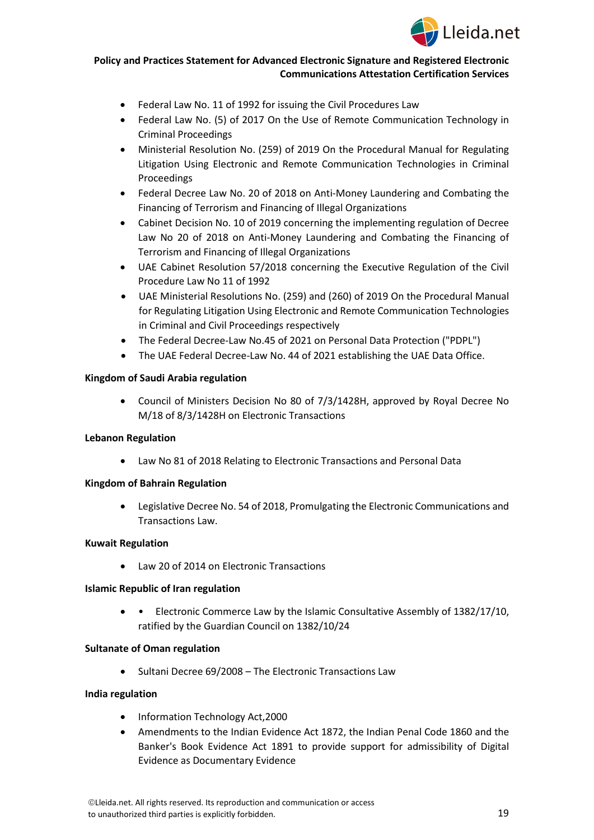

- Federal Law No. 11 of 1992 for issuing the Civil Procedures Law
- Federal Law No. (5) of 2017 On the Use of Remote Communication Technology in Criminal Proceedings
- Ministerial Resolution No. (259) of 2019 On the Procedural Manual for Regulating Litigation Using Electronic and Remote Communication Technologies in Criminal Proceedings
- Federal Decree Law No. 20 of 2018 on Anti-Money Laundering and Combating the Financing of Terrorism and Financing of Illegal Organizations
- Cabinet Decision No. 10 of 2019 concerning the implementing regulation of Decree Law No 20 of 2018 on Anti-Money Laundering and Combating the Financing of Terrorism and Financing of Illegal Organizations
- UAE Cabinet Resolution 57/2018 concerning the Executive Regulation of the Civil Procedure Law No 11 of 1992
- UAE Ministerial Resolutions No. (259) and (260) of 2019 On the Procedural Manual for Regulating Litigation Using Electronic and Remote Communication Technologies in Criminal and Civil Proceedings respectively
- The Federal Decree-Law No.45 of 2021 on Personal Data Protection ("PDPL")
- The UAE Federal Decree-Law No. 44 of 2021 establishing the UAE Data Office.

#### **Kingdom of Saudi Arabia regulation**

• Council of Ministers Decision No 80 of 7/3/1428H, approved by Royal Decree No M/18 of 8/3/1428H on Electronic Transactions

#### **Lebanon Regulation**

• Law No 81 of 2018 Relating to Electronic Transactions and Personal Data

#### **Kingdom of Bahrain Regulation**

• Legislative Decree No. 54 of 2018, Promulgating the Electronic Communications and Transactions Law.

#### **Kuwait Regulation**

• Law 20 of 2014 on Electronic Transactions

#### **Islamic Republic of Iran regulation**

• • Electronic Commerce Law by the Islamic Consultative Assembly of 1382/17/10, ratified by the Guardian Council on 1382/10/24

#### **Sultanate of Oman regulation**

• Sultani Decree 69/2008 – The Electronic Transactions Law

#### **India regulation**

- Information Technology Act,2000
- Amendments to the Indian Evidence Act 1872, the Indian Penal Code 1860 and the Banker's Book Evidence Act 1891 to provide support for admissibility of Digital Evidence as Documentary Evidence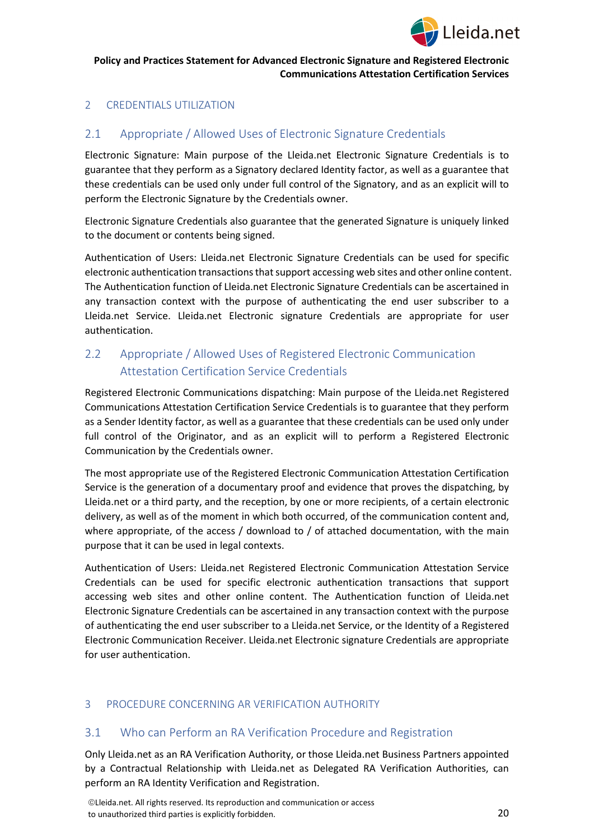

## <span id="page-19-0"></span>2 CREDENTIALS UTILIZATION

# <span id="page-19-1"></span>2.1 Appropriate / Allowed Uses of Electronic Signature Credentials

Electronic Signature: Main purpose of the Lleida.net Electronic Signature Credentials is to guarantee that they perform as a Signatory declared Identity factor, as well as a guarantee that these credentials can be used only under full control of the Signatory, and as an explicit will to perform the Electronic Signature by the Credentials owner.

Electronic Signature Credentials also guarantee that the generated Signature is uniquely linked to the document or contents being signed.

Authentication of Users: Lleida.net Electronic Signature Credentials can be used for specific electronic authentication transactions that support accessing web sites and other online content. The Authentication function of Lleida.net Electronic Signature Credentials can be ascertained in any transaction context with the purpose of authenticating the end user subscriber to a Lleida.net Service. Lleida.net Electronic signature Credentials are appropriate for user authentication.

# <span id="page-19-2"></span>2.2 Appropriate / Allowed Uses of Registered Electronic Communication Attestation Certification Service Credentials

Registered Electronic Communications dispatching: Main purpose of the Lleida.net Registered Communications Attestation Certification Service Credentials is to guarantee that they perform as a Sender Identity factor, as well as a guarantee that these credentials can be used only under full control of the Originator, and as an explicit will to perform a Registered Electronic Communication by the Credentials owner.

The most appropriate use of the Registered Electronic Communication Attestation Certification Service is the generation of a documentary proof and evidence that proves the dispatching, by Lleida.net or a third party, and the reception, by one or more recipients, of a certain electronic delivery, as well as of the moment in which both occurred, of the communication content and, where appropriate, of the access / download to / of attached documentation, with the main purpose that it can be used in legal contexts.

Authentication of Users: Lleida.net Registered Electronic Communication Attestation Service Credentials can be used for specific electronic authentication transactions that support accessing web sites and other online content. The Authentication function of Lleida.net Electronic Signature Credentials can be ascertained in any transaction context with the purpose of authenticating the end user subscriber to a Lleida.net Service, or the Identity of a Registered Electronic Communication Receiver. Lleida.net Electronic signature Credentials are appropriate for user authentication.

## <span id="page-19-3"></span>3 PROCEDURE CONCERNING AR VERIFICATION AUTHORITY

## <span id="page-19-4"></span>3.1 Who can Perform an RA Verification Procedure and Registration

Only Lleida.net as an RA Verification Authority, or those Lleida.net Business Partners appointed by a Contractual Relationship with Lleida.net as Delegated RA Verification Authorities, can perform an RA Identity Verification and Registration.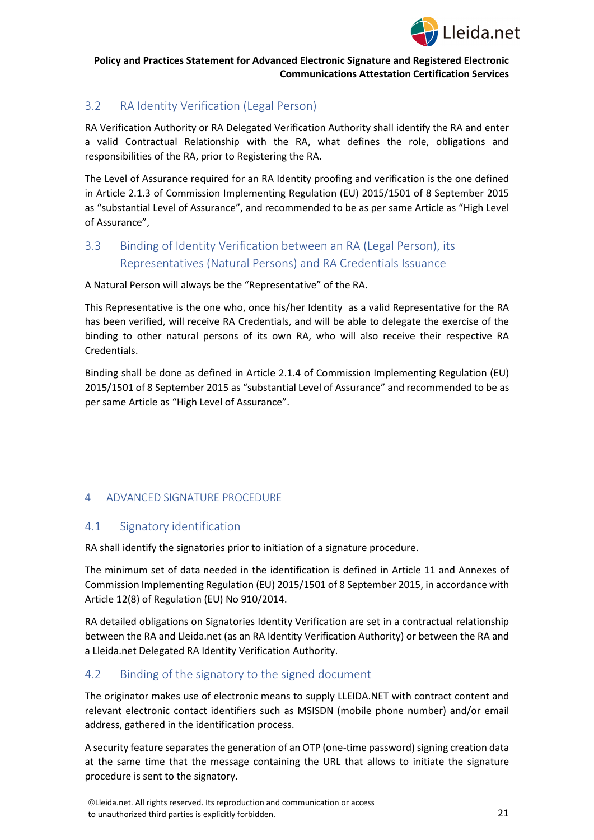

# <span id="page-20-0"></span>3.2 RA Identity Verification (Legal Person)

RA Verification Authority or RA Delegated Verification Authority shall identify the RA and enter a valid Contractual Relationship with the RA, what defines the role, obligations and responsibilities of the RA, prior to Registering the RA.

The Level of Assurance required for an RA Identity proofing and verification is the one defined in Article 2.1.3 of Commission Implementing Regulation (EU) 2015/1501 of 8 September 2015 as "substantial Level of Assurance", and recommended to be as per same Article as "High Level of Assurance",

# <span id="page-20-1"></span>3.3 Binding of Identity Verification between an RA (Legal Person), its Representatives (Natural Persons) and RA Credentials Issuance

A Natural Person will always be the "Representative" of the RA.

This Representative is the one who, once his/her Identity as a valid Representative for the RA has been verified, will receive RA Credentials, and will be able to delegate the exercise of the binding to other natural persons of its own RA, who will also receive their respective RA Credentials.

Binding shall be done as defined in Article 2.1.4 of Commission Implementing Regulation (EU) 2015/1501 of 8 September 2015 as "substantial Level of Assurance" and recommended to be as per same Article as "High Level of Assurance".

## <span id="page-20-2"></span>4 ADVANCED SIGNATURE PROCEDURE

## <span id="page-20-3"></span>4.1 Signatory identification

RA shall identify the signatories prior to initiation of a signature procedure.

The minimum set of data needed in the identification is defined in Article 11 and Annexes of Commission Implementing Regulation (EU) 2015/1501 of 8 September 2015, in accordance with Article 12(8) of Regulation (EU) No 910/2014.

RA detailed obligations on Signatories Identity Verification are set in a contractual relationship between the RA and Lleida.net (as an RA Identity Verification Authority) or between the RA and a Lleida.net Delegated RA Identity Verification Authority.

## <span id="page-20-4"></span>4.2 Binding of the signatory to the signed document

The originator makes use of electronic means to supply LLEIDA.NET with contract content and relevant electronic contact identifiers such as MSISDN (mobile phone number) and/or email address, gathered in the identification process.

A security feature separates the generation of an OTP (one-time password) signing creation data at the same time that the message containing the URL that allows to initiate the signature procedure is sent to the signatory.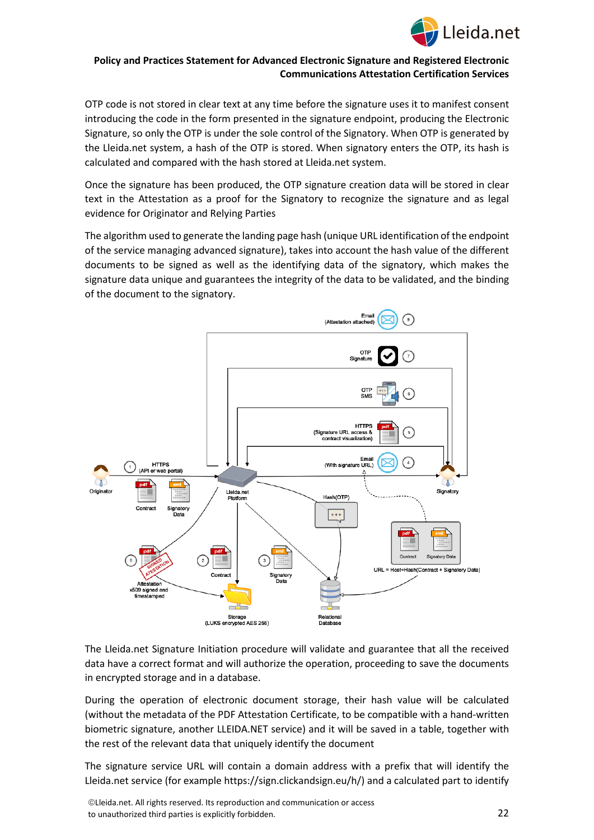

OTP code is not stored in clear text at any time before the signature uses it to manifest consent introducing the code in the form presented in the signature endpoint, producing the Electronic Signature, so only the OTP is under the sole control of the Signatory. When OTP is generated by the Lleida.net system, a hash of the OTP is stored. When signatory enters the OTP, its hash is calculated and compared with the hash stored at Lleida.net system.

Once the signature has been produced, the OTP signature creation data will be stored in clear text in the Attestation as a proof for the Signatory to recognize the signature and as legal evidence for Originator and Relying Parties

The algorithm used to generate the landing page hash (unique URL identification of the endpoint of the service managing advanced signature), takes into account the hash value of the different documents to be signed as well as the identifying data of the signatory, which makes the signature data unique and guarantees the integrity of the data to be validated, and the binding of the document to the signatory.



The Lleida.net Signature Initiation procedure will validate and guarantee that all the received data have a correct format and will authorize the operation, proceeding to save the documents in encrypted storage and in a database.

During the operation of electronic document storage, their hash value will be calculated (without the metadata of the PDF Attestation Certificate, to be compatible with a hand-written biometric signature, another LLEIDA.NET service) and it will be saved in a table, together with the rest of the relevant data that uniquely identify the document

The signature service URL will contain a domain address with a prefix that will identify the Lleida.net service (for example https://sign.clickandsign.eu/h/) and a calculated part to identify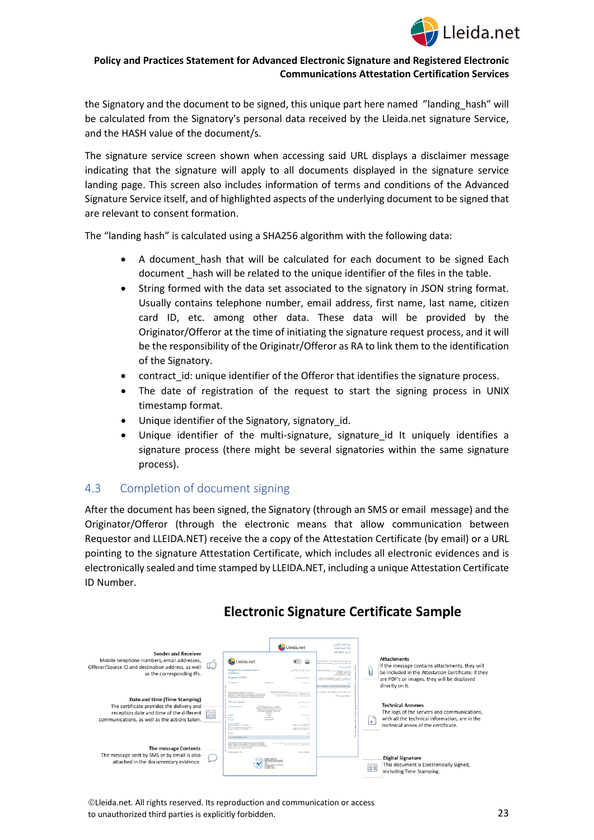

the Signatory and the document to be signed, this unique part here named "landing hash" will be calculated from the Signatory's personal data received by the Lleida.net signature Service, and the HASH value of the document/s.

The signature service screen shown when accessing said URL displays a disclaimer message indicating that the signature will apply to all documents displayed in the signature service landing page. This screen also includes information of terms and conditions of the Advanced Signature Service itself, and of highlighted aspects of the underlying document to be signed that are relevant to consent formation.

The "landing hash" is calculated using a SHA256 algorithm with the following data:

- A document hash that will be calculated for each document to be signed Each document \_hash will be related to the unique identifier of the files in the table.
- String formed with the data set associated to the signatory in JSON string format. Usually contains telephone number, email address, first name, last name, citizen card ID, etc. among other data. These data will be provided by the Originator/Offeror at the time of initiating the signature request process, and it will be the responsibility of the Originatr/Offeror as RA to link them to the identification of the Signatory.
- contract id: unique identifier of the Offeror that identifies the signature process.
- The date of registration of the request to start the signing process in UNIX timestamp format.
- Unique identifier of the Signatory, signatory id.
- Unique identifier of the multi-signature, signature id It uniquely identifies a signature process (there might be several signatories within the same signature process).

## <span id="page-22-0"></span>4.3 Completion of document signing

After the document has been signed, the Signatory (through an SMS or email message) and the Originator/Offeror (through the electronic means that allow communication between Requestor and LLEIDA.NET) receive the a copy of the Attestation Certificate (by email) or a URL pointing to the signature Attestation Certificate, which includes all electronic evidences and is electronically sealed and time stamped by LLEIDA.NET, including a unique Attestation Certificate ID Number.



# **Electronic Signature Certificate Sample**

Lleida.net. All rights reserved. Its reproduction and communication or access to unauthorized third parties is explicitly forbidden.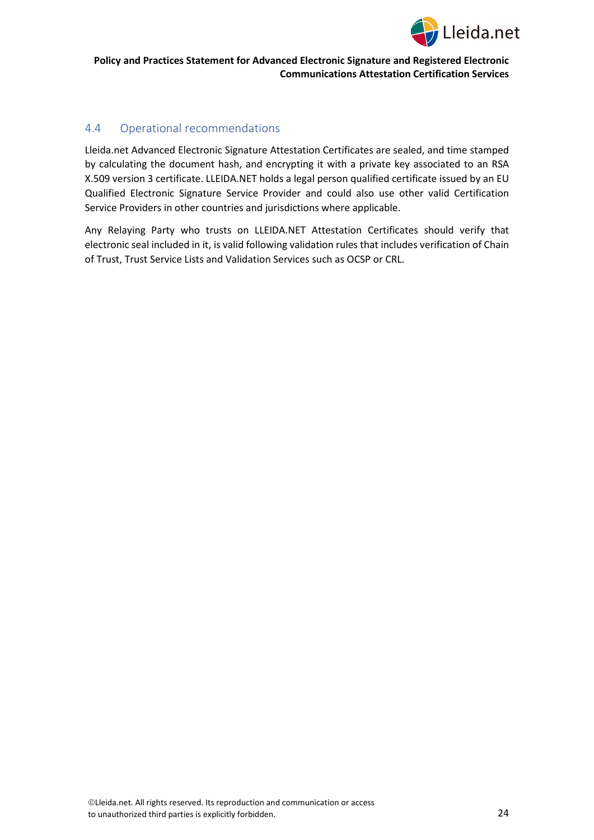

## <span id="page-23-0"></span>4.4 Operational recommendations

Lleida.net Advanced Electronic Signature Attestation Certificates are sealed, and time stamped by calculating the document hash, and encrypting it with a private key associated to an RSA X.509 version 3 certificate. LLEIDA.NET holds a legal person qualified certificate issued by an EU Qualified Electronic Signature Service Provider and could also use other valid Certification Service Providers in other countries and jurisdictions where applicable.

Any Relaying Party who trusts on LLEIDA.NET Attestation Certificates should verify that electronic seal included in it, is valid following validation rules that includes verification of Chain of Trust, Trust Service Lists and Validation Services such as OCSP or CRL.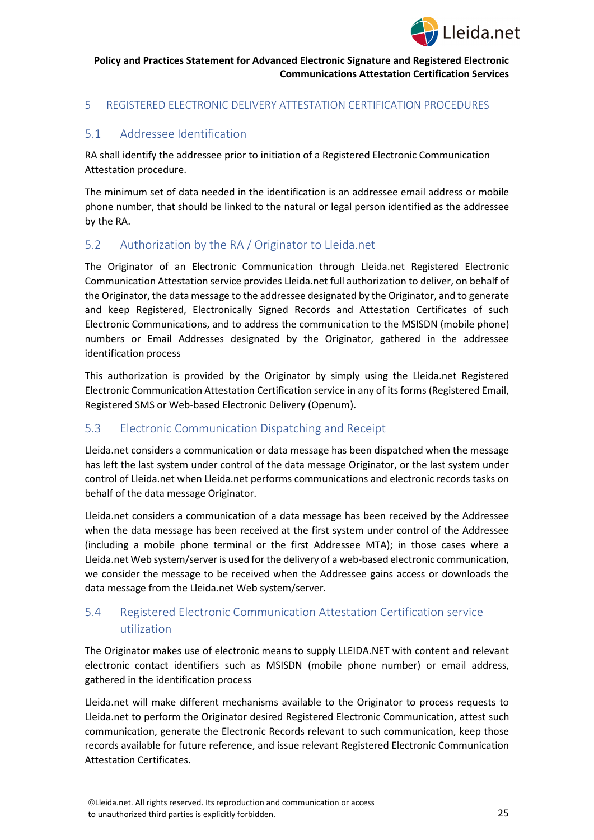

## <span id="page-24-0"></span>5 REGISTERED ELECTRONIC DELIVERY ATTESTATION CERTIFICATION PROCEDURES

## <span id="page-24-1"></span>5.1 Addressee Identification

RA shall identify the addressee prior to initiation of a Registered Electronic Communication Attestation procedure.

The minimum set of data needed in the identification is an addressee email address or mobile phone number, that should be linked to the natural or legal person identified as the addressee by the RA.

## <span id="page-24-2"></span>5.2 Authorization by the RA / Originator to Lleida.net

The Originator of an Electronic Communication through Lleida.net Registered Electronic Communication Attestation service provides Lleida.net full authorization to deliver, on behalf of the Originator, the data message to the addressee designated by the Originator, and to generate and keep Registered, Electronically Signed Records and Attestation Certificates of such Electronic Communications, and to address the communication to the MSISDN (mobile phone) numbers or Email Addresses designated by the Originator, gathered in the addressee identification process

This authorization is provided by the Originator by simply using the Lleida.net Registered Electronic Communication Attestation Certification service in any of its forms (Registered Email, Registered SMS or Web-based Electronic Delivery (Openum).

## <span id="page-24-3"></span>5.3 Electronic Communication Dispatching and Receipt

Lleida.net considers a communication or data message has been dispatched when the message has left the last system under control of the data message Originator, or the last system under control of Lleida.net when Lleida.net performs communications and electronic records tasks on behalf of the data message Originator.

Lleida.net considers a communication of a data message has been received by the Addressee when the data message has been received at the first system under control of the Addressee (including a mobile phone terminal or the first Addressee MTA); in those cases where a Lleida.net Web system/server is used for the delivery of a web-based electronic communication, we consider the message to be received when the Addressee gains access or downloads the data message from the Lleida.net Web system/server.

# <span id="page-24-4"></span>5.4 Registered Electronic Communication Attestation Certification service utilization

The Originator makes use of electronic means to supply LLEIDA.NET with content and relevant electronic contact identifiers such as MSISDN (mobile phone number) or email address, gathered in the identification process

Lleida.net will make different mechanisms available to the Originator to process requests to Lleida.net to perform the Originator desired Registered Electronic Communication, attest such communication, generate the Electronic Records relevant to such communication, keep those records available for future reference, and issue relevant Registered Electronic Communication Attestation Certificates.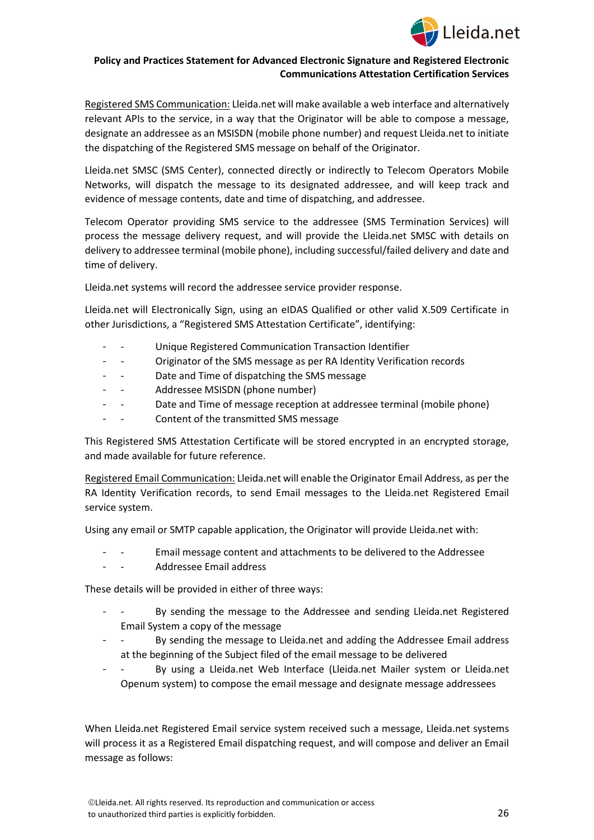

Registered SMS Communication: Lleida.net will make available a web interface and alternatively relevant APIs to the service, in a way that the Originator will be able to compose a message, designate an addressee as an MSISDN (mobile phone number) and request Lleida.net to initiate the dispatching of the Registered SMS message on behalf of the Originator.

Lleida.net SMSC (SMS Center), connected directly or indirectly to Telecom Operators Mobile Networks, will dispatch the message to its designated addressee, and will keep track and evidence of message contents, date and time of dispatching, and addressee.

Telecom Operator providing SMS service to the addressee (SMS Termination Services) will process the message delivery request, and will provide the Lleida.net SMSC with details on delivery to addressee terminal (mobile phone), including successful/failed delivery and date and time of delivery.

Lleida.net systems will record the addressee service provider response.

Lleida.net will Electronically Sign, using an eIDAS Qualified or other valid X.509 Certificate in other Jurisdictions, a "Registered SMS Attestation Certificate", identifying:

- Unique Registered Communication Transaction Identifier
- Originator of the SMS message as per RA Identity Verification records
- Date and Time of dispatching the SMS message
- - Addressee MSISDN (phone number)
- - Date and Time of message reception at addressee terminal (mobile phone)
- Content of the transmitted SMS message

This Registered SMS Attestation Certificate will be stored encrypted in an encrypted storage, and made available for future reference.

Registered Email Communication: Lleida.net will enable the Originator Email Address, as per the RA Identity Verification records, to send Email messages to the Lleida.net Registered Email service system.

Using any email or SMTP capable application, the Originator will provide Lleida.net with:

- Email message content and attachments to be delivered to the Addressee
- - Addressee Email address

These details will be provided in either of three ways:

- - By sending the message to the Addressee and sending Lleida.net Registered Email System a copy of the message
- - By sending the message to Lleida.net and adding the Addressee Email address at the beginning of the Subject filed of the email message to be delivered
- By using a Lleida.net Web Interface (Lleida.net Mailer system or Lleida.net Openum system) to compose the email message and designate message addressees

When Lleida.net Registered Email service system received such a message, Lleida.net systems will process it as a Registered Email dispatching request, and will compose and deliver an Email message as follows: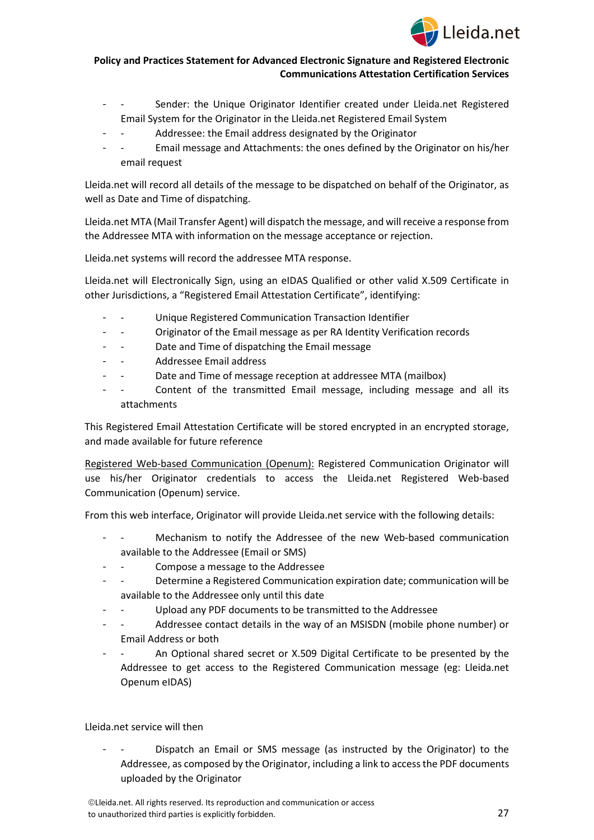

- Sender: the Unique Originator Identifier created under Lleida.net Registered Email System for the Originator in the Lleida.net Registered Email System
	- Addressee: the Email address designated by the Originator
- - Email message and Attachments: the ones defined by the Originator on his/her email request

Lleida.net will record all details of the message to be dispatched on behalf of the Originator, as well as Date and Time of dispatching.

Lleida.net MTA (Mail Transfer Agent) will dispatch the message, and will receive a response from the Addressee MTA with information on the message acceptance or rejection.

Lleida.net systems will record the addressee MTA response.

Lleida.net will Electronically Sign, using an eIDAS Qualified or other valid X.509 Certificate in other Jurisdictions, a "Registered Email Attestation Certificate", identifying:

- Unique Registered Communication Transaction Identifier
- - Originator of the Email message as per RA Identity Verification records
- Date and Time of dispatching the Email message
- Addressee Email address
- Date and Time of message reception at addressee MTA (mailbox)
- Content of the transmitted Email message, including message and all its attachments

This Registered Email Attestation Certificate will be stored encrypted in an encrypted storage, and made available for future reference

Registered Web-based Communication (Openum): Registered Communication Originator will use his/her Originator credentials to access the Lleida.net Registered Web-based Communication (Openum) service.

From this web interface, Originator will provide Lleida.net service with the following details:

- Mechanism to notify the Addressee of the new Web-based communication available to the Addressee (Email or SMS)
- Compose a message to the Addressee
- Determine a Registered Communication expiration date; communication will be available to the Addressee only until this date
- Upload any PDF documents to be transmitted to the Addressee
- Addressee contact details in the way of an MSISDN (mobile phone number) or Email Address or both
- An Optional shared secret or X.509 Digital Certificate to be presented by the Addressee to get access to the Registered Communication message (eg: Lleida.net Openum eIDAS)

#### Lleida.net service will then

Dispatch an Email or SMS message (as instructed by the Originator) to the Addressee, as composed by the Originator, including a link to access the PDF documents uploaded by the Originator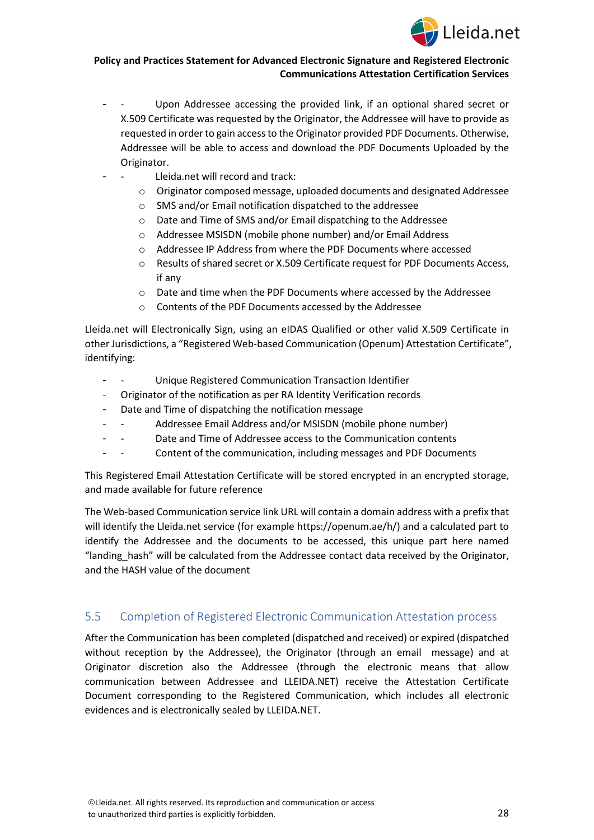

- Upon Addressee accessing the provided link, if an optional shared secret or X.509 Certificate was requested by the Originator, the Addressee will have to provide as requested in order to gain access to the Originator provided PDF Documents. Otherwise, Addressee will be able to access and download the PDF Documents Uploaded by the Originator.
- Lleida.net will record and track:
	- o Originator composed message, uploaded documents and designated Addressee
	- o SMS and/or Email notification dispatched to the addressee
	- o Date and Time of SMS and/or Email dispatching to the Addressee
	- o Addressee MSISDN (mobile phone number) and/or Email Address
	- o Addressee IP Address from where the PDF Documents where accessed
	- o Results of shared secret or X.509 Certificate request for PDF Documents Access, if any
	- o Date and time when the PDF Documents where accessed by the Addressee
	- o Contents of the PDF Documents accessed by the Addressee

Lleida.net will Electronically Sign, using an eIDAS Qualified or other valid X.509 Certificate in other Jurisdictions, a "Registered Web-based Communication (Openum) Attestation Certificate", identifying:

- Unique Registered Communication Transaction Identifier
- Originator of the notification as per RA Identity Verification records
- Date and Time of dispatching the notification message
- - Addressee Email Address and/or MSISDN (mobile phone number)
- - Date and Time of Addressee access to the Communication contents
- - Content of the communication, including messages and PDF Documents

This Registered Email Attestation Certificate will be stored encrypted in an encrypted storage, and made available for future reference

The Web-based Communication service link URL will contain a domain address with a prefix that will identify the Lleida.net service (for example https://openum.ae/h/) and a calculated part to identify the Addressee and the documents to be accessed, this unique part here named "landing\_hash" will be calculated from the Addressee contact data received by the Originator, and the HASH value of the document

## <span id="page-27-0"></span>5.5 Completion of Registered Electronic Communication Attestation process

After the Communication has been completed (dispatched and received) or expired (dispatched without reception by the Addressee), the Originator (through an email message) and at Originator discretion also the Addressee (through the electronic means that allow communication between Addressee and LLEIDA.NET) receive the Attestation Certificate Document corresponding to the Registered Communication, which includes all electronic evidences and is electronically sealed by LLEIDA.NET.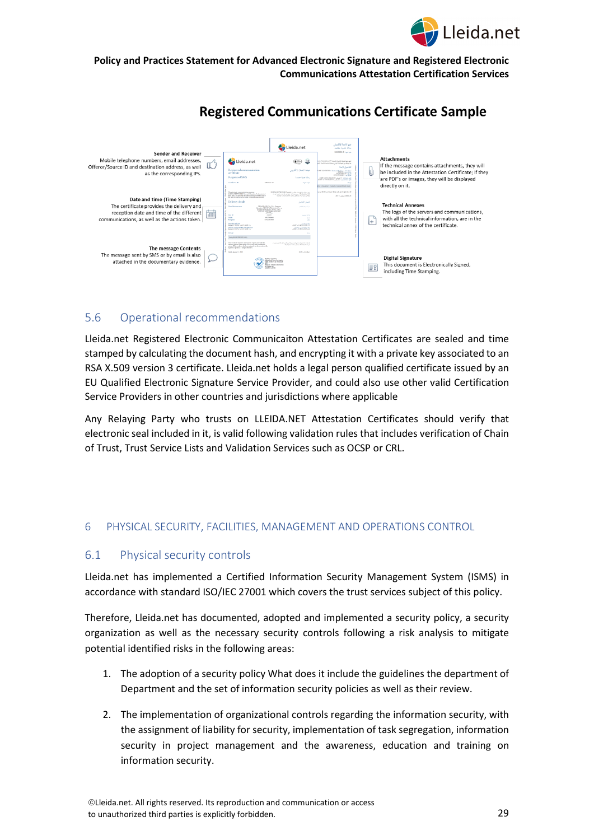



# **Registered Communications Certificate Sample**

## <span id="page-28-0"></span>5.6 Operational recommendations

Lleida.net Registered Electronic Communicaiton Attestation Certificates are sealed and time stamped by calculating the document hash, and encrypting it with a private key associated to an RSA X.509 version 3 certificate. Lleida.net holds a legal person qualified certificate issued by an EU Qualified Electronic Signature Service Provider, and could also use other valid Certification Service Providers in other countries and jurisdictions where applicable

Any Relaying Party who trusts on LLEIDA.NET Attestation Certificates should verify that electronic seal included in it, is valid following validation rules that includes verification of Chain of Trust, Trust Service Lists and Validation Services such as OCSP or CRL.

## <span id="page-28-1"></span>6 PHYSICAL SECURITY, FACILITIES, MANAGEMENT AND OPERATIONS CONTROL

## <span id="page-28-2"></span>6.1 Physical security controls

Lleida.net has implemented a Certified Information Security Management System (ISMS) in accordance with standard ISO/IEC 27001 which covers the trust services subject of this policy.

Therefore, Lleida.net has documented, adopted and implemented a security policy, a security organization as well as the necessary security controls following a risk analysis to mitigate potential identified risks in the following areas:

- 1. The adoption of a security policy What does it include the guidelines the department of Department and the set of information security policies as well as their review.
- 2. The implementation of organizational controls regarding the information security, with the assignment of liability for security, implementation of task segregation, information security in project management and the awareness, education and training on information security.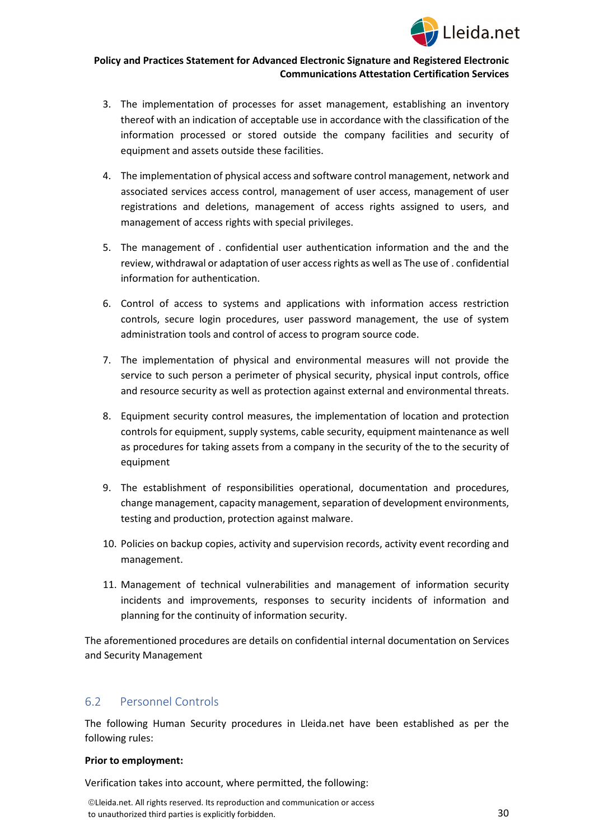

- 3. The implementation of processes for asset management, establishing an inventory thereof with an indication of acceptable use in accordance with the classification of the information processed or stored outside the company facilities and security of equipment and assets outside these facilities.
- 4. The implementation of physical access and software control management, network and associated services access control, management of user access, management of user registrations and deletions, management of access rights assigned to users, and management of access rights with special privileges.
- 5. The management of . confidential user authentication information and the and the review, withdrawal or adaptation of user access rights as well as The use of . confidential information for authentication.
- 6. Control of access to systems and applications with information access restriction controls, secure login procedures, user password management, the use of system administration tools and control of access to program source code.
- 7. The implementation of physical and environmental measures will not provide the service to such person a perimeter of physical security, physical input controls, office and resource security as well as protection against external and environmental threats.
- 8. Equipment security control measures, the implementation of location and protection controls for equipment, supply systems, cable security, equipment maintenance as well as procedures for taking assets from a company in the security of the to the security of equipment
- 9. The establishment of responsibilities operational, documentation and procedures, change management, capacity management, separation of development environments, testing and production, protection against malware.
- 10. Policies on backup copies, activity and supervision records, activity event recording and management.
- 11. Management of technical vulnerabilities and management of information security incidents and improvements, responses to security incidents of information and planning for the continuity of information security.

The aforementioned procedures are details on confidential internal documentation on Services and Security Management

# <span id="page-29-0"></span>6.2 Personnel Controls

The following Human Security procedures in Lleida.net have been established as per the following rules:

#### **Prior to employment:**

Verification takes into account, where permitted, the following: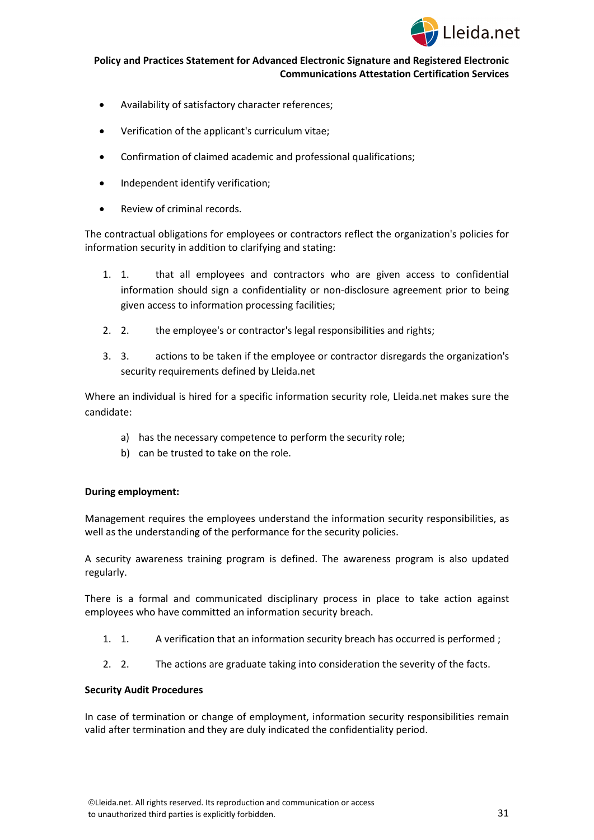

- Availability of satisfactory character references;
- Verification of the applicant's curriculum vitae;
- Confirmation of claimed academic and professional qualifications;
- Independent identify verification;
- Review of criminal records.

The contractual obligations for employees or contractors reflect the organization's policies for information security in addition to clarifying and stating:

- 1. 1. that all employees and contractors who are given access to confidential information should sign a confidentiality or non-disclosure agreement prior to being given access to information processing facilities;
- 2. 2. the employee's or contractor's legal responsibilities and rights;
- 3. 3. actions to be taken if the employee or contractor disregards the organization's security requirements defined by Lleida.net

Where an individual is hired for a specific information security role, Lleida.net makes sure the candidate:

- a) has the necessary competence to perform the security role;
- b) can be trusted to take on the role.

#### **During employment:**

Management requires the employees understand the information security responsibilities, as well as the understanding of the performance for the security policies.

A security awareness training program is defined. The awareness program is also updated regularly.

There is a formal and communicated disciplinary process in place to take action against employees who have committed an information security breach.

- 1. 1. A verification that an information security breach has occurred is performed ;
- 2. 2. The actions are graduate taking into consideration the severity of the facts.

#### **Security Audit Procedures**

In case of termination or change of employment, information security responsibilities remain valid after termination and they are duly indicated the confidentiality period.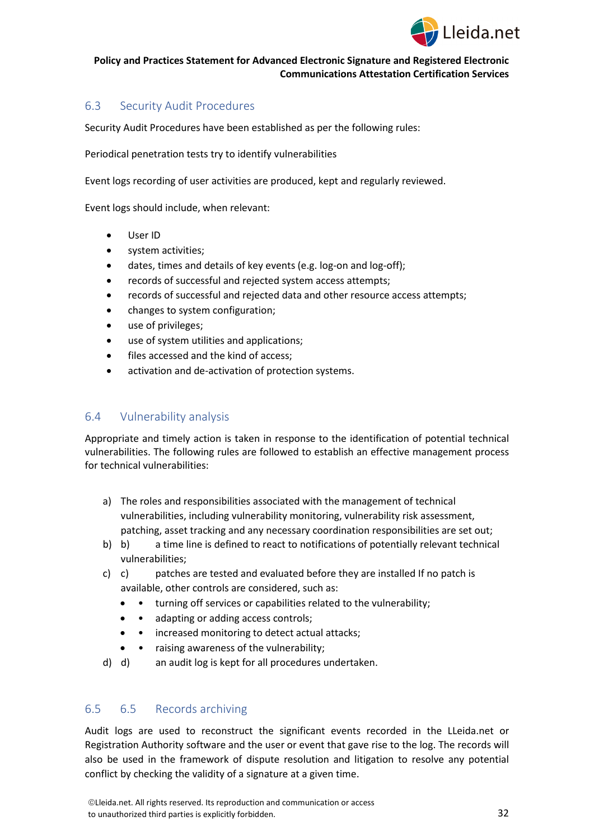

## <span id="page-31-0"></span>6.3 Security Audit Procedures

Security Audit Procedures have been established as per the following rules:

Periodical penetration tests try to identify vulnerabilities

Event logs recording of user activities are produced, kept and regularly reviewed.

Event logs should include, when relevant:

- User ID
- system activities:
- dates, times and details of key events (e.g. log-on and log-off);
- records of successful and rejected system access attempts;
- records of successful and rejected data and other resource access attempts;
- changes to system configuration;
- use of privileges;
- use of system utilities and applications;
- files accessed and the kind of access;
- activation and de-activation of protection systems.

## <span id="page-31-1"></span>6.4 Vulnerability analysis

Appropriate and timely action is taken in response to the identification of potential technical vulnerabilities. The following rules are followed to establish an effective management process for technical vulnerabilities:

- a) The roles and responsibilities associated with the management of technical vulnerabilities, including vulnerability monitoring, vulnerability risk assessment, patching, asset tracking and any necessary coordination responsibilities are set out;
- b) b) a time line is defined to react to notifications of potentially relevant technical vulnerabilities;
- c) c) patches are tested and evaluated before they are installed If no patch is available, other controls are considered, such as:
	- • turning off services or capabilities related to the vulnerability;
	- • adapting or adding access controls;
	- • increased monitoring to detect actual attacks;
	- raising awareness of the vulnerability;
- d) d) an audit log is kept for all procedures undertaken.

## <span id="page-31-2"></span>6.5 6.5 Records archiving

Audit logs are used to reconstruct the significant events recorded in the LLeida.net or Registration Authority software and the user or event that gave rise to the log. The records will also be used in the framework of dispute resolution and litigation to resolve any potential conflict by checking the validity of a signature at a given time.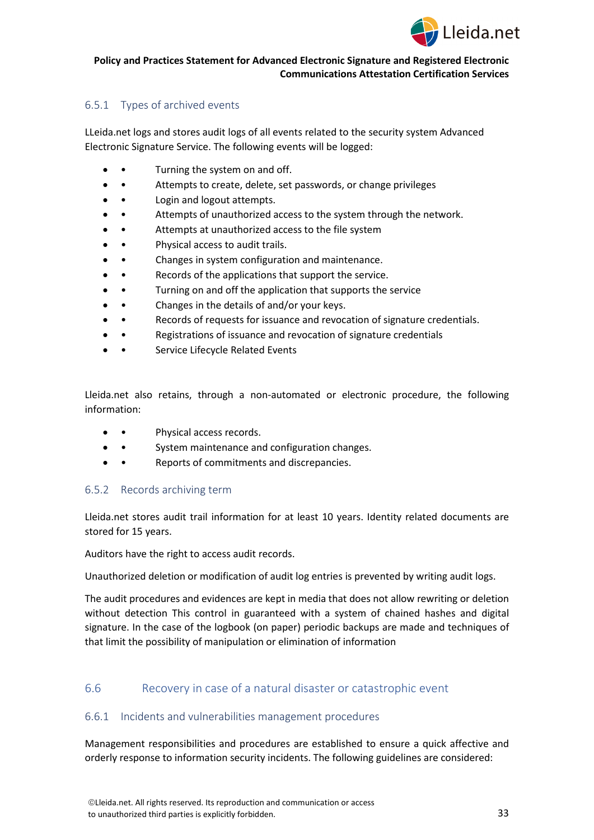

## <span id="page-32-0"></span>6.5.1 Types of archived events

LLeida.net logs and stores audit logs of all events related to the security system Advanced Electronic Signature Service. The following events will be logged:

- Turning the system on and off.
- Attempts to create, delete, set passwords, or change privileges
- Login and logout attempts.
- • Attempts of unauthorized access to the system through the network.
- Attempts at unauthorized access to the file system
- Physical access to audit trails.
- Changes in system configuration and maintenance.
- • Records of the applications that support the service.
- Turning on and off the application that supports the service
- Changes in the details of and/or your keys.
- • Records of requests for issuance and revocation of signature credentials.
- Registrations of issuance and revocation of signature credentials
- Service Lifecycle Related Events

Lleida.net also retains, through a non-automated or electronic procedure, the following information:

- • Physical access records.
- System maintenance and configuration changes.
- Reports of commitments and discrepancies.

## <span id="page-32-1"></span>6.5.2 Records archiving term

Lleida.net stores audit trail information for at least 10 years. Identity related documents are stored for 15 years.

Auditors have the right to access audit records.

Unauthorized deletion or modification of audit log entries is prevented by writing audit logs.

The audit procedures and evidences are kept in media that does not allow rewriting or deletion without detection This control in guaranteed with a system of chained hashes and digital signature. In the case of the logbook (on paper) periodic backups are made and techniques of that limit the possibility of manipulation or elimination of information

## <span id="page-32-2"></span>6.6 Recovery in case of a natural disaster or catastrophic event

## <span id="page-32-3"></span>6.6.1 Incidents and vulnerabilities management procedures

Management responsibilities and procedures are established to ensure a quick affective and orderly response to information security incidents. The following guidelines are considered: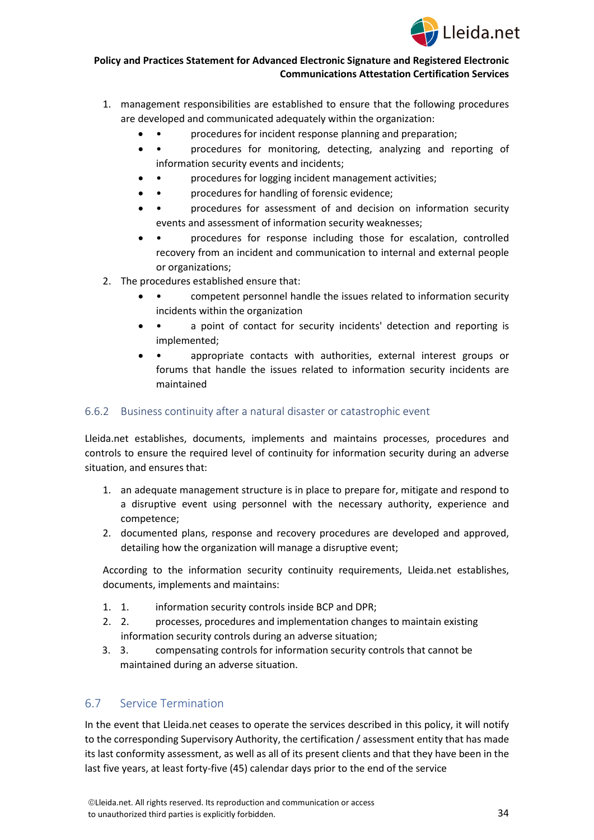

- 1. management responsibilities are established to ensure that the following procedures are developed and communicated adequately within the organization:
	- procedures for incident response planning and preparation;
	- • procedures for monitoring, detecting, analyzing and reporting of information security events and incidents;
	- procedures for logging incident management activities;
	- procedures for handling of forensic evidence;
	- • procedures for assessment of and decision on information security events and assessment of information security weaknesses;
	- procedures for response including those for escalation, controlled recovery from an incident and communication to internal and external people or organizations;
- 2. The procedures established ensure that:
	- • competent personnel handle the issues related to information security incidents within the organization
	- • a point of contact for security incidents' detection and reporting is implemented;
	- • appropriate contacts with authorities, external interest groups or forums that handle the issues related to information security incidents are maintained

## <span id="page-33-0"></span>6.6.2 Business continuity after a natural disaster or catastrophic event

Lleida.net establishes, documents, implements and maintains processes, procedures and controls to ensure the required level of continuity for information security during an adverse situation, and ensures that:

- 1. an adequate management structure is in place to prepare for, mitigate and respond to a disruptive event using personnel with the necessary authority, experience and competence;
- 2. documented plans, response and recovery procedures are developed and approved, detailing how the organization will manage a disruptive event;

According to the information security continuity requirements, Lleida.net establishes, documents, implements and maintains:

- 1. 1. information security controls inside BCP and DPR;
- 2. 2. processes, procedures and implementation changes to maintain existing information security controls during an adverse situation;
- 3. 3. compensating controls for information security controls that cannot be maintained during an adverse situation.

# <span id="page-33-1"></span>6.7 Service Termination

In the event that Lleida.net ceases to operate the services described in this policy, it will notify to the corresponding Supervisory Authority, the certification / assessment entity that has made its last conformity assessment, as well as all of its present clients and that they have been in the last five years, at least forty-five (45) calendar days prior to the end of the service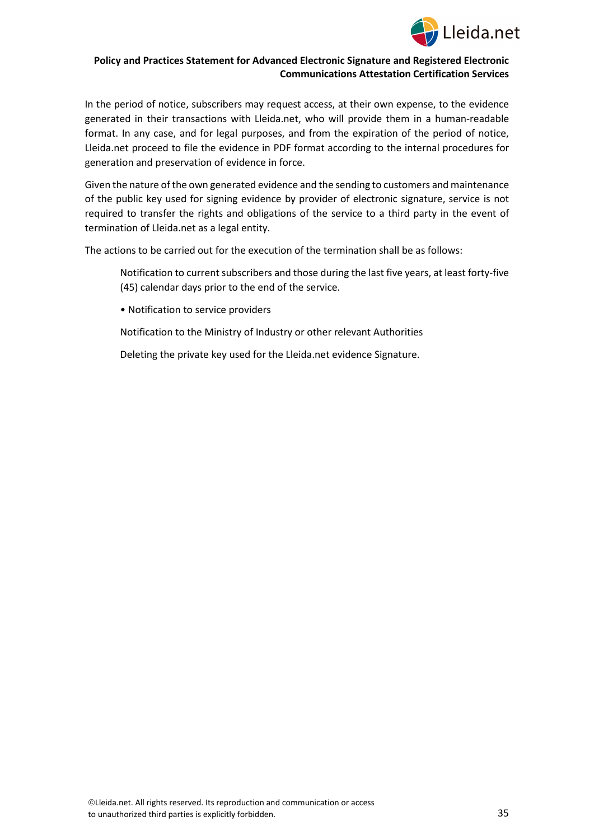

In the period of notice, subscribers may request access, at their own expense, to the evidence generated in their transactions with Lleida.net, who will provide them in a human-readable format. In any case, and for legal purposes, and from the expiration of the period of notice, Lleida.net proceed to file the evidence in PDF format according to the internal procedures for generation and preservation of evidence in force.

Given the nature of the own generated evidence and the sending to customers and maintenance of the public key used for signing evidence by provider of electronic signature, service is not required to transfer the rights and obligations of the service to a third party in the event of termination of Lleida.net as a legal entity.

The actions to be carried out for the execution of the termination shall be as follows:

Notification to current subscribers and those during the last five years, at least forty-five (45) calendar days prior to the end of the service.

• Notification to service providers

Notification to the Ministry of Industry or other relevant Authorities

Deleting the private key used for the Lleida.net evidence Signature.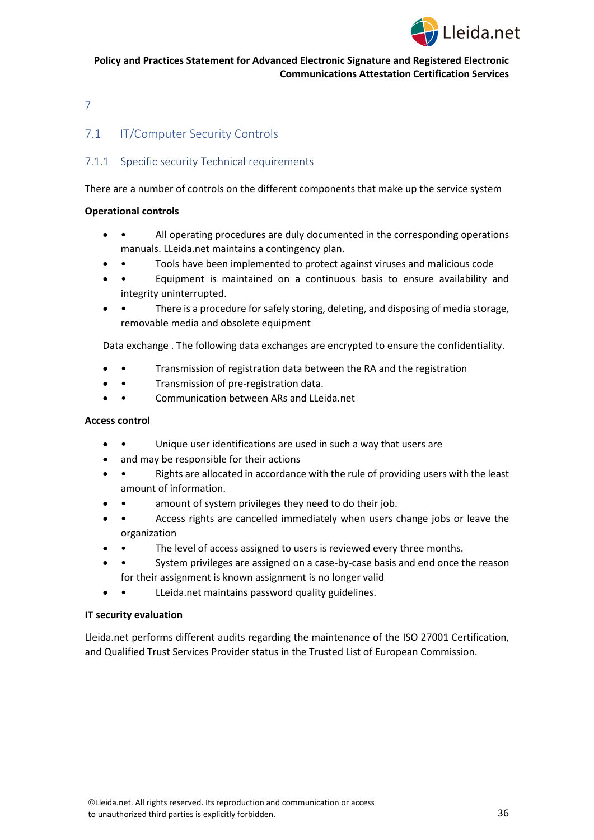

<span id="page-35-0"></span>7

# <span id="page-35-1"></span>7.1 **IT/Computer Security Controls**

## <span id="page-35-2"></span>7.1.1 Specific security Technical requirements

There are a number of controls on the different components that make up the service system

#### **Operational controls**

- • All operating procedures are duly documented in the corresponding operations manuals. LLeida.net maintains a contingency plan.
- • Tools have been implemented to protect against viruses and malicious code
- • Equipment is maintained on a continuous basis to ensure availability and integrity uninterrupted.
- There is a procedure for safely storing, deleting, and disposing of media storage, removable media and obsolete equipment

Data exchange . The following data exchanges are encrypted to ensure the confidentiality.

- • Transmission of registration data between the RA and the registration
- • Transmission of pre-registration data.
- • Communication between ARs and LLeida.net

## **Access control**

- Unique user identifications are used in such a way that users are
- and may be responsible for their actions
- • Rights are allocated in accordance with the rule of providing users with the least amount of information.
- amount of system privileges they need to do their job.
- • Access rights are cancelled immediately when users change jobs or leave the organization
- The level of access assigned to users is reviewed every three months.
- System privileges are assigned on a case-by-case basis and end once the reason for their assignment is known assignment is no longer valid
- LLeida.net maintains password quality guidelines.

#### **IT security evaluation**

Lleida.net performs different audits regarding the maintenance of the ISO 27001 Certification, and Qualified Trust Services Provider status in the Trusted List of European Commission.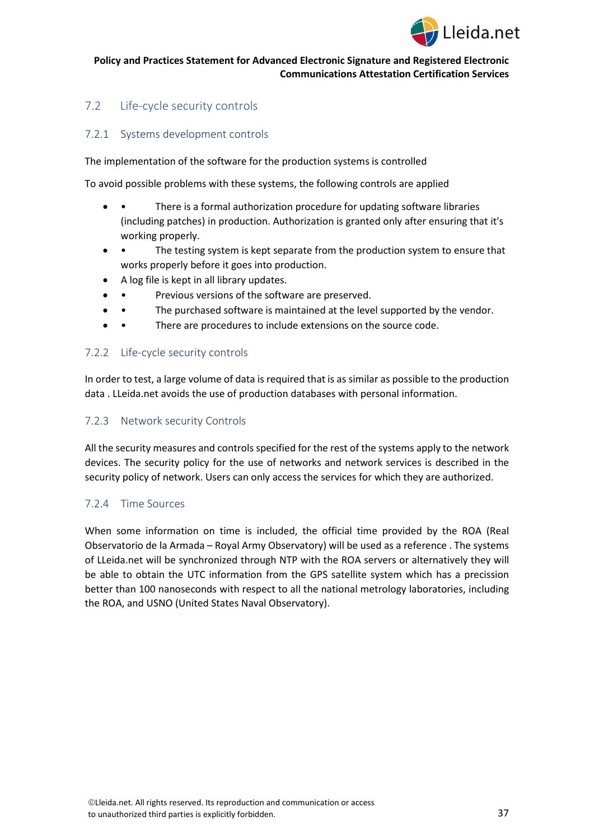

# <span id="page-36-0"></span>7.2 Life-cycle security controls

## <span id="page-36-1"></span>7.2.1 Systems development controls

The implementation of the software for the production systems is controlled

To avoid possible problems with these systems, the following controls are applied

- • There is a formal authorization procedure for updating software libraries (including patches) in production. Authorization is granted only after ensuring that it's working properly.
- • The testing system is kept separate from the production system to ensure that works properly before it goes into production.
- A log file is kept in all library updates.
	- Previous versions of the software are preserved.
- • The purchased software is maintained at the level supported by the vendor.
- There are procedures to include extensions on the source code.

## <span id="page-36-2"></span>7.2.2 Life-cycle security controls

In order to test, a large volume of data is required that is as similar as possible to the production data . LLeida.net avoids the use of production databases with personal information.

## <span id="page-36-3"></span>7.2.3 Network security Controls

All the security measures and controls specified for the rest of the systems apply to the network devices. The security policy for the use of networks and network services is described in the security policy of network. Users can only access the services for which they are authorized.

## <span id="page-36-4"></span>7.2.4 Time Sources

When some information on time is included, the official time provided by the ROA (Real Observatorio de la Armada – Royal Army Observatory) will be used as a reference . The systems of LLeida.net will be synchronized through NTP with the ROA servers or alternatively they will be able to obtain the UTC information from the GPS satellite system which has a precission better than 100 nanoseconds with respect to all the national metrology laboratories, including the ROA, and USNO (United States Naval Observatory).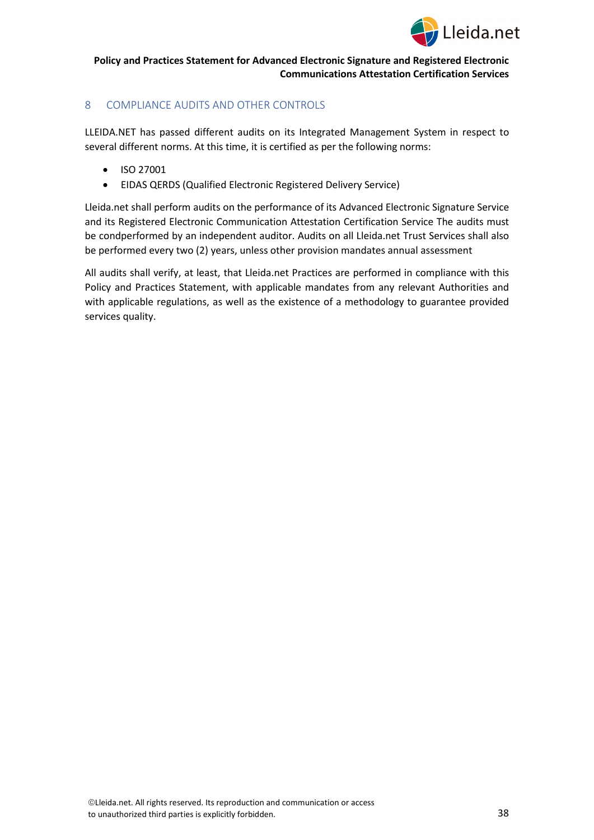

## <span id="page-37-0"></span>8 COMPLIANCE AUDITS AND OTHER CONTROLS

LLEIDA.NET has passed different audits on its Integrated Management System in respect to several different norms. At this time, it is certified as per the following norms:

- ISO 27001
- EIDAS QERDS (Qualified Electronic Registered Delivery Service)

Lleida.net shall perform audits on the performance of its Advanced Electronic Signature Service and its Registered Electronic Communication Attestation Certification Service The audits must be condperformed by an independent auditor. Audits on all Lleida.net Trust Services shall also be performed every two (2) years, unless other provision mandates annual assessment

All audits shall verify, at least, that Lleida.net Practices are performed in compliance with this Policy and Practices Statement, with applicable mandates from any relevant Authorities and with applicable regulations, as well as the existence of a methodology to guarantee provided services quality.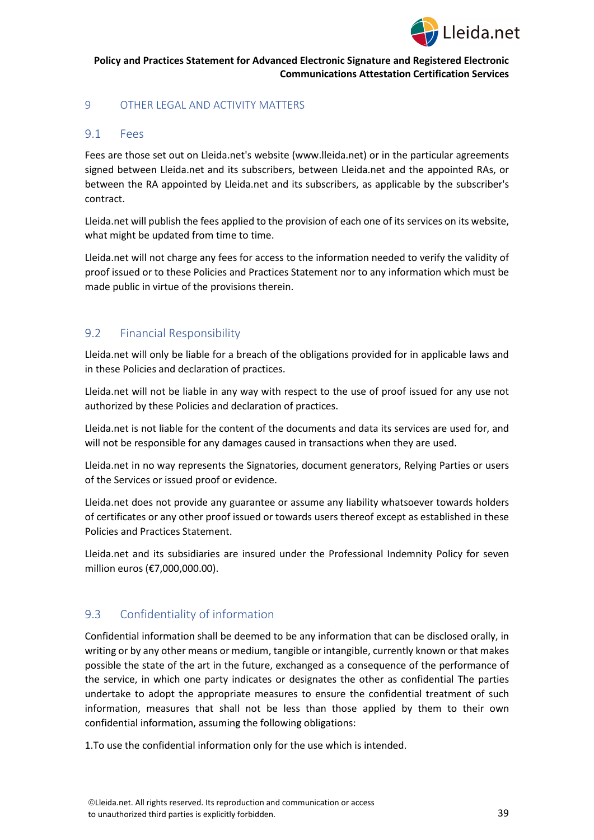

## <span id="page-38-0"></span>9 OTHER LEGAL AND ACTIVITY MATTERS

## <span id="page-38-1"></span>9.1 Fees

Fees are those set out on Lleida.net's website (www.lleida.net) or in the particular agreements signed between Lleida.net and its subscribers, between Lleida.net and the appointed RAs, or between the RA appointed by Lleida.net and its subscribers, as applicable by the subscriber's contract.

Lleida.net will publish the fees applied to the provision of each one of its services on its website, what might be updated from time to time.

Lleida.net will not charge any fees for access to the information needed to verify the validity of proof issued or to these Policies and Practices Statement nor to any information which must be made public in virtue of the provisions therein.

## <span id="page-38-2"></span>9.2 Financial Responsibility

Lleida.net will only be liable for a breach of the obligations provided for in applicable laws and in these Policies and declaration of practices.

Lleida.net will not be liable in any way with respect to the use of proof issued for any use not authorized by these Policies and declaration of practices.

Lleida.net is not liable for the content of the documents and data its services are used for, and will not be responsible for any damages caused in transactions when they are used.

Lleida.net in no way represents the Signatories, document generators, Relying Parties or users of the Services or issued proof or evidence.

Lleida.net does not provide any guarantee or assume any liability whatsoever towards holders of certificates or any other proof issued or towards users thereof except as established in these Policies and Practices Statement.

Lleida.net and its subsidiaries are insured under the Professional Indemnity Policy for seven million euros (€7,000,000.00).

# <span id="page-38-3"></span>9.3 Confidentiality of information

Confidential information shall be deemed to be any information that can be disclosed orally, in writing or by any other means or medium, tangible or intangible, currently known or that makes possible the state of the art in the future, exchanged as a consequence of the performance of the service, in which one party indicates or designates the other as confidential The parties undertake to adopt the appropriate measures to ensure the confidential treatment of such information, measures that shall not be less than those applied by them to their own confidential information, assuming the following obligations:

1.To use the confidential information only for the use which is intended.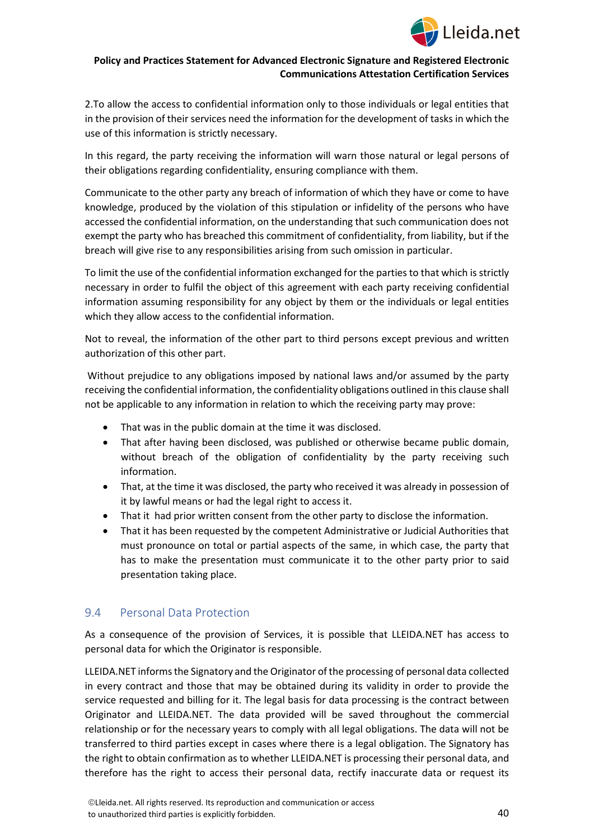

2.To allow the access to confidential information only to those individuals or legal entities that in the provision of their services need the information for the development of tasks in which the use of this information is strictly necessary.

In this regard, the party receiving the information will warn those natural or legal persons of their obligations regarding confidentiality, ensuring compliance with them.

Communicate to the other party any breach of information of which they have or come to have knowledge, produced by the violation of this stipulation or infidelity of the persons who have accessed the confidential information, on the understanding that such communication does not exempt the party who has breached this commitment of confidentiality, from liability, but if the breach will give rise to any responsibilities arising from such omission in particular.

To limit the use of the confidential information exchanged for the parties to that which is strictly necessary in order to fulfil the object of this agreement with each party receiving confidential information assuming responsibility for any object by them or the individuals or legal entities which they allow access to the confidential information.

Not to reveal, the information of the other part to third persons except previous and written authorization of this other part.

Without prejudice to any obligations imposed by national laws and/or assumed by the party receiving the confidential information, the confidentiality obligations outlined in this clause shall not be applicable to any information in relation to which the receiving party may prove:

- That was in the public domain at the time it was disclosed.
- That after having been disclosed, was published or otherwise became public domain, without breach of the obligation of confidentiality by the party receiving such information.
- That, at the time it was disclosed, the party who received it was already in possession of it by lawful means or had the legal right to access it.
- That it had prior written consent from the other party to disclose the information.
- That it has been requested by the competent Administrative or Judicial Authorities that must pronounce on total or partial aspects of the same, in which case, the party that has to make the presentation must communicate it to the other party prior to said presentation taking place.

## <span id="page-39-0"></span>9.4 Personal Data Protection

As a consequence of the provision of Services, it is possible that LLEIDA.NET has access to personal data for which the Originator is responsible.

LLEIDA.NET informs the Signatory and the Originator of the processing of personal data collected in every contract and those that may be obtained during its validity in order to provide the service requested and billing for it. The legal basis for data processing is the contract between Originator and LLEIDA.NET. The data provided will be saved throughout the commercial relationship or for the necessary years to comply with all legal obligations. The data will not be transferred to third parties except in cases where there is a legal obligation. The Signatory has the right to obtain confirmation as to whether LLEIDA.NET is processing their personal data, and therefore has the right to access their personal data, rectify inaccurate data or request its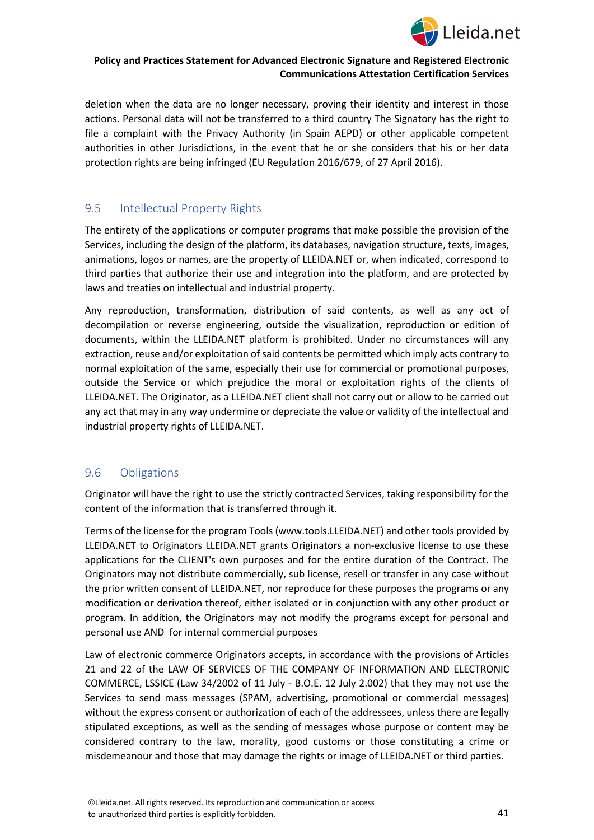

deletion when the data are no longer necessary, proving their identity and interest in those actions. Personal data will not be transferred to a third country The Signatory has the right to file a complaint with the Privacy Authority (in Spain AEPD) or other applicable competent authorities in other Jurisdictions, in the event that he or she considers that his or her data protection rights are being infringed (EU Regulation 2016/679, of 27 April 2016).

## <span id="page-40-0"></span>9.5 Intellectual Property Rights

The entirety of the applications or computer programs that make possible the provision of the Services, including the design of the platform, its databases, navigation structure, texts, images, animations, logos or names, are the property of LLEIDA.NET or, when indicated, correspond to third parties that authorize their use and integration into the platform, and are protected by laws and treaties on intellectual and industrial property.

Any reproduction, transformation, distribution of said contents, as well as any act of decompilation or reverse engineering, outside the visualization, reproduction or edition of documents, within the LLEIDA.NET platform is prohibited. Under no circumstances will any extraction, reuse and/or exploitation of said contents be permitted which imply acts contrary to normal exploitation of the same, especially their use for commercial or promotional purposes, outside the Service or which prejudice the moral or exploitation rights of the clients of LLEIDA.NET. The Originator, as a LLEIDA.NET client shall not carry out or allow to be carried out any act that may in any way undermine or depreciate the value or validity of the intellectual and industrial property rights of LLEIDA.NET.

# <span id="page-40-1"></span>9.6 Obligations

Originator will have the right to use the strictly contracted Services, taking responsibility for the content of the information that is transferred through it.

Terms of the license for the program Tools (www.tools.LLEIDA.NET) and other tools provided by LLEIDA.NET to Originators LLEIDA.NET grants Originators a non-exclusive license to use these applications for the CLIENT's own purposes and for the entire duration of the Contract. The Originators may not distribute commercially, sub license, resell or transfer in any case without the prior written consent of LLEIDA.NET, nor reproduce for these purposes the programs or any modification or derivation thereof, either isolated or in conjunction with any other product or program. In addition, the Originators may not modify the programs except for personal and personal use AND for internal commercial purposes

Law of electronic commerce Originators accepts, in accordance with the provisions of Articles 21 and 22 of the LAW OF SERVICES OF THE COMPANY OF INFORMATION AND ELECTRONIC COMMERCE, LSSICE (Law 34/2002 of 11 July - B.O.E. 12 July 2.002) that they may not use the Services to send mass messages (SPAM, advertising, promotional or commercial messages) without the express consent or authorization of each of the addressees, unless there are legally stipulated exceptions, as well as the sending of messages whose purpose or content may be considered contrary to the law, morality, good customs or those constituting a crime or misdemeanour and those that may damage the rights or image of LLEIDA.NET or third parties.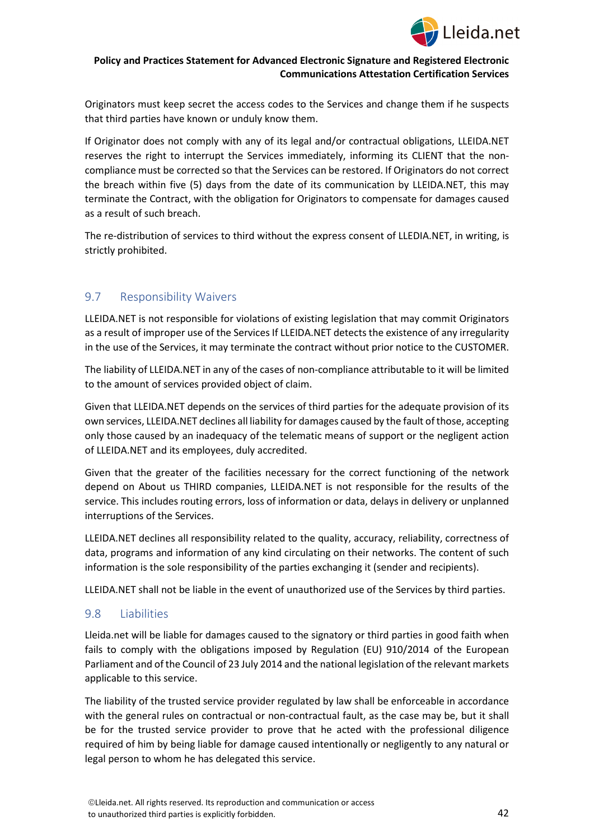

Originators must keep secret the access codes to the Services and change them if he suspects that third parties have known or unduly know them.

If Originator does not comply with any of its legal and/or contractual obligations, LLEIDA.NET reserves the right to interrupt the Services immediately, informing its CLIENT that the noncompliance must be corrected so that the Services can be restored. If Originators do not correct the breach within five (5) days from the date of its communication by LLEIDA.NET, this may terminate the Contract, with the obligation for Originators to compensate for damages caused as a result of such breach.

The re-distribution of services to third without the express consent of LLEDIA.NET, in writing, is strictly prohibited.

# <span id="page-41-0"></span>9.7 Responsibility Waivers

LLEIDA.NET is not responsible for violations of existing legislation that may commit Originators as a result of improper use of the Services If LLEIDA.NET detects the existence of any irregularity in the use of the Services, it may terminate the contract without prior notice to the CUSTOMER.

The liability of LLEIDA.NET in any of the cases of non-compliance attributable to it will be limited to the amount of services provided object of claim.

Given that LLEIDA.NET depends on the services of third parties for the adequate provision of its own services, LLEIDA.NET declines all liability for damages caused by the fault of those, accepting only those caused by an inadequacy of the telematic means of support or the negligent action of LLEIDA.NET and its employees, duly accredited.

Given that the greater of the facilities necessary for the correct functioning of the network depend on About us THIRD companies, LLEIDA.NET is not responsible for the results of the service. This includes routing errors, loss of information or data, delays in delivery or unplanned interruptions of the Services.

LLEIDA.NET declines all responsibility related to the quality, accuracy, reliability, correctness of data, programs and information of any kind circulating on their networks. The content of such information is the sole responsibility of the parties exchanging it (sender and recipients).

LLEIDA.NET shall not be liable in the event of unauthorized use of the Services by third parties.

## <span id="page-41-1"></span>9.8 Liabilities

Lleida.net will be liable for damages caused to the signatory or third parties in good faith when fails to comply with the obligations imposed by Regulation (EU) 910/2014 of the European Parliament and of the Council of 23 July 2014 and the national legislation of the relevant markets applicable to this service.

The liability of the trusted service provider regulated by law shall be enforceable in accordance with the general rules on contractual or non-contractual fault, as the case may be, but it shall be for the trusted service provider to prove that he acted with the professional diligence required of him by being liable for damage caused intentionally or negligently to any natural or legal person to whom he has delegated this service.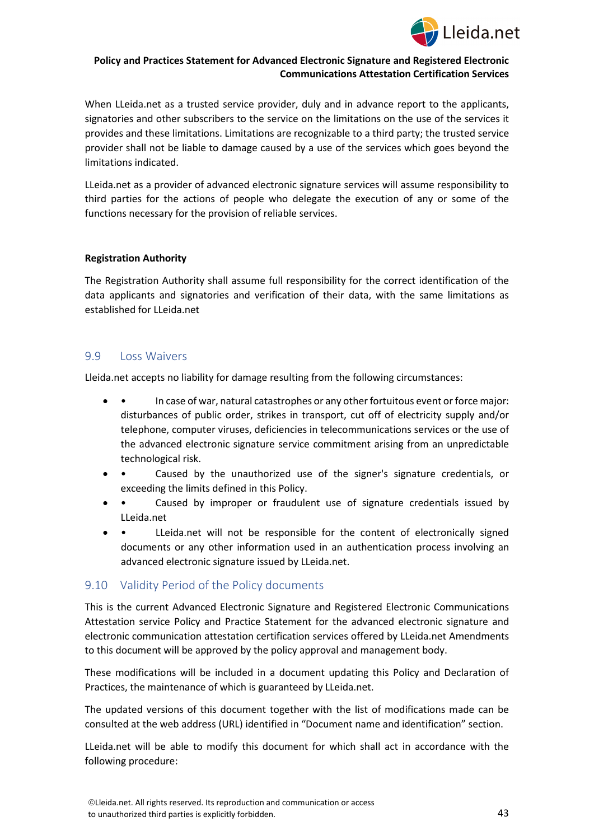

When LLeida.net as a trusted service provider, duly and in advance report to the applicants, signatories and other subscribers to the service on the limitations on the use of the services it provides and these limitations. Limitations are recognizable to a third party; the trusted service provider shall not be liable to damage caused by a use of the services which goes beyond the limitations indicated.

LLeida.net as a provider of advanced electronic signature services will assume responsibility to third parties for the actions of people who delegate the execution of any or some of the functions necessary for the provision of reliable services.

#### **Registration Authority**

The Registration Authority shall assume full responsibility for the correct identification of the data applicants and signatories and verification of their data, with the same limitations as established for LLeida.net

## <span id="page-42-0"></span>9.9 Loss Waivers

Lleida.net accepts no liability for damage resulting from the following circumstances:

- • In case of war, natural catastrophes or any other fortuitous event or force major: disturbances of public order, strikes in transport, cut off of electricity supply and/or telephone, computer viruses, deficiencies in telecommunications services or the use of the advanced electronic signature service commitment arising from an unpredictable technological risk.
- • Caused by the unauthorized use of the signer's signature credentials, or exceeding the limits defined in this Policy.
- Caused by improper or fraudulent use of signature credentials issued by LLeida.net
- • LLeida.net will not be responsible for the content of electronically signed documents or any other information used in an authentication process involving an advanced electronic signature issued by LLeida.net.

## <span id="page-42-1"></span>9.10 Validity Period of the Policy documents

This is the current Advanced Electronic Signature and Registered Electronic Communications Attestation service Policy and Practice Statement for the advanced electronic signature and electronic communication attestation certification services offered by LLeida.net Amendments to this document will be approved by the policy approval and management body.

These modifications will be included in a document updating this Policy and Declaration of Practices, the maintenance of which is guaranteed by LLeida.net.

The updated versions of this document together with the list of modifications made can be consulted at the web address (URL) identified in "Document name and identification" section.

LLeida.net will be able to modify this document for which shall act in accordance with the following procedure: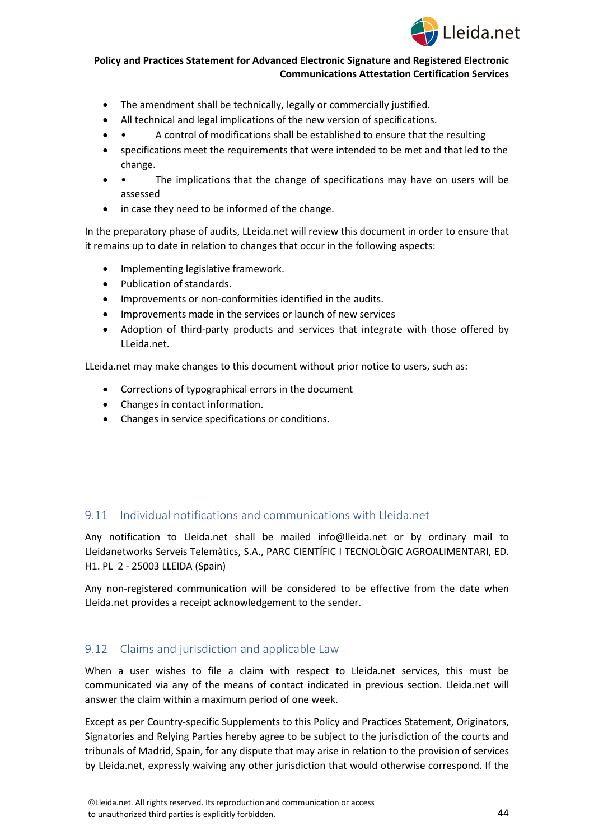

- The amendment shall be technically, legally or commercially justified.
- All technical and legal implications of the new version of specifications.
- • A control of modifications shall be established to ensure that the resulting
- specifications meet the requirements that were intended to be met and that led to the change.
- • The implications that the change of specifications may have on users will be assessed
- in case they need to be informed of the change.

In the preparatory phase of audits, LLeida.net will review this document in order to ensure that it remains up to date in relation to changes that occur in the following aspects:

- Implementing legislative framework.
- Publication of standards.
- Improvements or non-conformities identified in the audits.
- Improvements made in the services or launch of new services
- Adoption of third-party products and services that integrate with those offered by LLeida.net.

LLeida.net may make changes to this document without prior notice to users, such as:

- Corrections of typographical errors in the document
- Changes in contact information.
- Changes in service specifications or conditions.

## <span id="page-43-0"></span>9.11 Individual notifications and communications with Lleida.net

Any notification to Lleida.net shall be mailed info@lleida.net or by ordinary mail to Lleidanetworks Serveis Telemàtics, S.A., PARC CIENTÍFIC I TECNOLÒGIC AGROALIMENTARI, ED. H1. PL 2 - 25003 LLEIDA (Spain)

Any non-registered communication will be considered to be effective from the date when Lleida.net provides a receipt acknowledgement to the sender.

## <span id="page-43-1"></span>9.12 Claims and jurisdiction and applicable Law

When a user wishes to file a claim with respect to Lleida.net services, this must be communicated via any of the means of contact indicated in previous section. Lleida.net will answer the claim within a maximum period of one week.

Except as per Country-specific Supplements to this Policy and Practices Statement, Originators, Signatories and Relying Parties hereby agree to be subject to the jurisdiction of the courts and tribunals of Madrid, Spain, for any dispute that may arise in relation to the provision of services by Lleida.net, expressly waiving any other jurisdiction that would otherwise correspond. If the